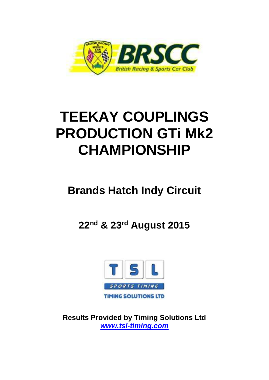

# **TEEKAY COUPLINGS PRODUCTION GTi Mk2 CHAMPIONSHIP**

## **Brands Hatch Indy Circuit**

**22nd & 23rd August 2015**



**Results Provided by Timing Solutions Ltd**  *www.tsl-timing.com*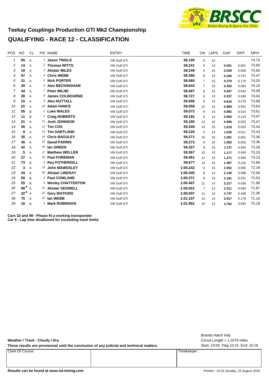

#### **Teekay Couplings Production GTI Mk2 Championship QUALIFYING - RACE 12 - CLASSIFICATION**

| <b>POS</b> | <b>NO</b> | <b>CL</b>      | PIC NAME                    | <b>ENTRY</b>       | <b>TIME</b> | ON             | <b>LAPS</b> | GAP   | <b>DIFF</b> | <b>MPH</b> |
|------------|-----------|----------------|-----------------------------|--------------------|-------------|----------------|-------------|-------|-------------|------------|
| 1          | 65        | A              | 1 Jason TINGLE              | <b>VW Golf GTi</b> | 58.190      | 9              | 15          |       |             | 74.73      |
| 2          | 14        | A              | 2 Thomas WITTS              | VW Golf GTi        | 58.241      | 5              | 13          | 0.051 | 0.051       | 74.66      |
| 3          | 10        | A              | 3 Alistair MILES            | VW Golf GTi        | 58.249      | 6              | 15          | 0.059 | 0.008       | 74.65      |
| 4          | 57        | A              | 4 Chris WEBB                | <b>VW Golf GTi</b> | 58.390      | 8              | 14          | 0.200 | 0.141       | 74.47      |
| 5          | 31        | A              | 5 Nick PORTER               | <b>VW Golf GTi</b> | 58.560      | $\overline{7}$ | 15          | 0.370 | 0.170       | 74.25      |
| 6          | 29        | A              | 6 Alex BECKINGHAM           | VW Golf GTi        | 58.643      | $\overline{7}$ | 15          | 0.453 | 0.083       | 74.15      |
| 7          | 44        | A              | 7 Peter MILNE               | <b>VW Golf GTi</b> | 58.687      | 8              | 15          | 0.497 | 0.044       | 74.09      |
| 8          | 28        | A              | 8 James COLBOURNE           | VW Golf GTi        | 58.727      | 6              | 15          | 0.537 | 0.040       | 74.04      |
| 9          | 15        | $\overline{A}$ | 9 Alex NUTTALL              | VW Golf GTi        | 59.006      | 9              | 15          | 0.816 | 0.279       | 73.69      |
| 10         | 22        | A              | 10 Adam HANCE               | <b>VW Golf GTi</b> | 59.058      | 12             | 15          | 0.868 | 0.052       | 73.63      |
| 11         | 55        | B              | 1 Luke WALES                | <b>VW Golf GTI</b> | 59.072      | 9              | 15          | 0.882 | 0.014       | 73.61      |
| 12         | 11        | B              | <sup>2</sup> Craig ROBERTS  | <b>VW Golf GTi</b> | 59.182      | 6              | 14          | 0.992 | 0.110       | 73.47      |
| 13         | 21        | A              | 11 Josh JOHNSON             | <b>VW Golf GTi</b> | 59.185      | 14             | 15          | 0.995 | 0.003       | 73.47      |
| 14         | 26        | $\overline{A}$ | 12 Tim COX                  | VW Golf GTi        | 59.209      | 13             | 15          | 1.019 | 0.024       | 73.44      |
| 15         | 9         | A              | 13 Tim HARTLAND             | VW Golf GTi        | 59.220      | 5              | 14          | 1.030 | 0.011       | 73.43      |
| 16         | 35        | A              | 14 Chris BAGULEY            | VW Golf GTi        | 59.271      | 10             | 15          | 1.081 | 0.051       | 73.36      |
| 17         | 45        | A              | 15 David PARRIS             | <b>VW Golf GTi</b> | 59.273      | 9              | 15          | 1.083 | 0.002       | 73.36      |
| 18         | 42        | A              | 16 Ian GREEN                | <b>VW Golf GTi</b> | 59.327      | 8              | 15          | 1.137 | 0.054       | 73.29      |
| 19         | 5         | A              | 17 Matthew WELLER           | VW Golf GTi        | 59.367      | 13             | 15          | 1.177 | 0.040       | 73.24      |
| 20         | 27        | $\overline{A}$ | 18 Paul FOREMAN             | <b>VW Golf GTi</b> | 59.461      | 11             | 14          | 1.271 | 0.094       | 73.13      |
| 21         | 73        | B              | <sup>3</sup> Roy FOTHERGILL | <b>VW Golf GTi</b> | 59.677      | 14             | 15          | 1.487 | 0.216       | 72.86      |
| 22         | 3         | A              | 19 John MAWDSLEY            | VW Golf GTi        | 1:00.242    | 4              | 15          | 2.052 | 0.565       | 72.18      |
| 23         | 34        | A              | 20 Alistair LINDSAY         | <b>VW Golf GTi</b> | 1:00.340    | 8              | 14          | 2.150 | 0.098       | 72.06      |
| 24         | 50        | B              | 4 Paul COWLAND              | VW Golf GTi        | 1:00.371    | 8              | 14          | 2.181 | 0.031       | 72.03      |
| 25         | 25        | B              | 5 Wesley CHATTERTON         | <b>VW Golf GTi</b> | 1:00.407    | 11             | 14          | 2.217 | 0.036       | 71.98      |
| 26         | 99*       | A              | 21 Alistair SEDWELL         | <b>VW Golf GTi</b> | 1:00.501    | 7              | 13          | 2.311 | 0.094       | 71.87      |
| 27         | $32^*$ A  |                | 22 Gary WATKINS             | VW Golf GTi        | 1:00.937    | 11             | 14          | 2.747 | 0.436       | 71.36      |
| 28         | 75        | A              | 23 Ian WEBB                 | <b>VW Golf GTi</b> | 1:01.107    | 13             | 14          | 2.917 | 0.170       | 71.16      |
| 29         | 16        | B              | 6 Mark ROBINSON             | <b>VW Golf GTi</b> | 1:01.952    | 10             | 12          | 3.762 | 0.845       | 70.19      |

**Cars 32 and 99 - Please fit a working transponder Car 9 - Lap time disallowed for exceeding track limits**

**Weather / Track : Cloudy / Dry**

These results are provisional until the conclusion of any judicial and technical matters. Start: 10:00 Flag 10:15 End: 10:16

Clerk Of Course : Timekeeper :

Circuit Length = 1.2079 miles Brands Hatch Indy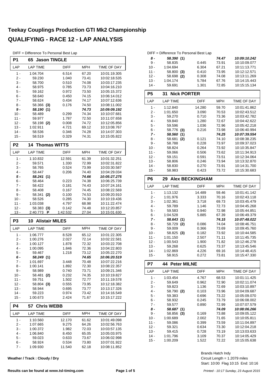DIFF = Difference To Personal Best Lap

| P1               | 65 Jason TINGLE             |                 |                |                              |  |  |
|------------------|-----------------------------|-----------------|----------------|------------------------------|--|--|
| LAP              | <b>LAP TIME</b>             | DIFF            | MPH            | TIME OF DAY                  |  |  |
| $1 -$            | 1:04.704                    | 6.514           | 67.20          | 10:01:19.305                 |  |  |
| $2 -$            | 59.230                      | 1.040           | 73.41          | 10:02:18.535                 |  |  |
| 3 -              | 58.700                      | 0.510           | 74.08          | 10:03:17.235                 |  |  |
| 4 -              | 58.975                      | 0.785           | 73.73          | 10:04:16.210                 |  |  |
| $5 -$            | 59.162                      | 0.972           | 73.50          | 10:05:15.372                 |  |  |
| 6 -              | 58.640                      | 0.450           | 74.15          | 10:06:14.012                 |  |  |
| $7 -$<br>8 -     | 58.624<br>58.366            | 0.434<br>0.176  | 74.17<br>74.50 | 10:07:12.636<br>10:08:11.002 |  |  |
| 9 -              | (3)<br>58.190 (1)           |                 | 74.73          | 10:09:09.192                 |  |  |
| $10 -$           | 58.489                      | 0.299           | 74.34          | 10:10:07.681                 |  |  |
| 11 -             | 59.977                      | 1.787           | 72.50          | 10:11:07.658                 |  |  |
| $12 -$           | 58.198 (2)                  | 0.008           | 74.72          | 10:12:05.856                 |  |  |
| $13 -$           | 1:02.911                    | 4.721           | 69.12          | 10:13:08.767                 |  |  |
| $14 -$           | 58.536                      | 0.346           | 74.28          | 10:14:07.303                 |  |  |
| $15 -$           | 58.519                      | 0.329           | 74.31          | 10:15:05.822                 |  |  |
| P <sub>2</sub>   | <b>Thomas WITTS</b><br>14   |                 |                |                              |  |  |
| LAP              | <b>LAP TIME</b>             | <b>DIFF</b>     | MPH            | TIME OF DAY                  |  |  |
| $1 -$            | 1:10.832                    | 12.591          | 61.39          | 10:01:32.251                 |  |  |
| 2 -              | 59.571                      | 1.330           | 72.99          | 10:02:31.822                 |  |  |
| 3 -<br>4 -       | 58.765<br>58.447            | 0.524<br>0.206  | 73.99<br>74.40 | 10:03:30.587<br>10:04:29.034 |  |  |
| 5 -              | 58.241 (1)                  |                 | 74.66          | 10:05:27.275                 |  |  |
| 6 -              | 58.464                      | 0.223           | 74.38          | 10:06:25.739                 |  |  |
| 7 -              | 58.422                      | 0.181           | 74.43          | 10:07:24.161                 |  |  |
| 8 -              | 58.408                      | 0.167           | 74.45          | 10:08:22.569                 |  |  |
| 9 -              | 58.341<br>(2)               | 0.100           | 74.53          | 10:09:20.910                 |  |  |
| $10 -$           | 58.526                      | 0.285           | 74.30          | 10:10:19.436                 |  |  |
|                  | 1:03.038                    | 4.797           | 68.98          | 10:11:22.474                 |  |  |
| 11 -             |                             |                 |                |                              |  |  |
| $12 -$           | 58.383<br>(3)               | 0.142           | 74.48          | 10:12:20.857                 |  |  |
| $13 -$           | 2:40.773<br>Ρ               | 1:42.532        | 27.04          | 10:15:01.630                 |  |  |
| P <sub>3</sub>   | <b>Alistair MILES</b><br>10 |                 |                |                              |  |  |
| LAP              | <b>LAP TIME</b>             | DIFF            | MPH            | TIME OF DAY                  |  |  |
| $1 -$            | 1:06.777                    | 8.528           | 65.12          | 10:01:22.305                 |  |  |
| 2 -              | 1:00.276                    | 2.027           | 72.14          | 10:02:22.581                 |  |  |
| 3 -              | 1:00.127                    | 1.878           | 72.32          | 10:03:22.708                 |  |  |
| 4 -              | 1:00.095                    | 1.846           | 72.36          | 10:04:22.803                 |  |  |
| 5 -              | 59.467                      | 1.218           | 73.12          | 10:05:22.270                 |  |  |
| 6 -              | 58.249 (1)                  |                 | 74.65          | 10:06:20.519                 |  |  |
| 7 -<br>$8 -$     | 1:01.697<br>1:00.141        | 3.448<br>1.892  | 70.48<br>72.30 | 10:07:22.216<br>10:08:22.357 |  |  |
| $9 -$            | 58.989                      | 0.740           | 73.71          | 10:09:21.346                 |  |  |
| $10 -$           | 58.481<br>(2)               | 0.232           | 74.35          | 10:10:19.827                 |  |  |
| $11 -$           | 59.751                      | 1.502           | 72.77          | 10:11:19.578                 |  |  |
| $12 -$           | 58.804 (3)                  | 0.555           | 73.95          | 10:12:18.382                 |  |  |
| $13 -$           | 58.944                      | 0.695           | 73.77          | 10:13:17.326                 |  |  |
| $14 -$<br>$15 -$ | 59.223<br>1:00.673          | 0.974<br>2.424  | 73.42<br>71.67 | 10:14:16.549<br>10:15:17.222 |  |  |
| P4               | <b>Chris WEBB</b><br>57     |                 |                |                              |  |  |
| LAP              | <b>LAP TIME</b>             | <b>DIFF</b>     | <b>MPH</b>     | TIME OF DAY                  |  |  |
| 1 -              | 1:10.560                    | 12.170          | 61.62          | 10:01:49.098                 |  |  |
| $2 -$            | 1:07.665                    | 9.275           | 64.26          | 10:02:56.763                 |  |  |
| $3 -$            | 1:00.372                    | 1.982           | 72.03          | 10:03:57.135                 |  |  |
| 4 -              | 1:06.840                    | 8.450           | 65.05          | 10:05:03.975                 |  |  |
| $5 -$            | 59.023                      | 0.633           | 73.67          | 10:06:02.998                 |  |  |
| 6 -<br>7 -       | 58.924<br>1:09.930          | 0.534<br>11.540 | 73.80<br>62.18 | 10:07:01.922<br>10:08:11.852 |  |  |

**Weather / Track : Cloudy / Dry**

#### DIFF = Difference To Personal Best Lap *8 - 58.390 10:09:10.242* **(1)** *74.47* 9 - 58.835 0.445 73.91 10:10:09.077<br>10 - 1:04.694 6.304 67.21 10:11:13.771 10:11:13.771 11 - 58.800 **(3)** 0.410 73.95 10:12:12.571 <br>12 - 58.698 **(2)** 0.308 74.08 10:13:11.269  $158.698$  (2) 13 - 1:04.174 - 5.784 67.76 10:14:15.443<br>14 - 59.691 - 1.301 72.85 10:15:15.134

| $14 -$         | 59.691                   | 1.301       | 72.85 | 10.15.15.134 |
|----------------|--------------------------|-------------|-------|--------------|
| P <sub>5</sub> | <b>Nick PORTER</b><br>31 |             |       |              |
| LAP            | <b>LAP TIME</b>          | <b>DIFF</b> | MPH   | TIME OF DAY  |
| $1 -$          | 1:12.840                 | 14.280      | 59.70 | 10:01:41.862 |
| 2 -            | 1:01.650                 | 3.090       | 70.53 | 10:02:43.512 |
| $3 -$          | 59.270                   | 0.710       | 73.36 | 10:03:42.782 |
| $4 -$          | 59.840                   | 1.280       | 72.67 | 10:04:42.622 |
| 5 -            | 59.596                   | 1.036       | 72.96 | 10:05:42.218 |
| $6 -$          | 58.776<br>(3)            | 0.216       | 73.98 | 10:06:40.994 |
| 7 -            | 58.560<br>(1)            |             | 74.25 | 10:07:39.554 |
| 8 -            | 58.681<br>(2)            | 0.121       | 74.10 | 10:08:38.235 |
| 9 -            | 58.788                   | 0.228       | 73.97 | 10:09:37.023 |
| $10 -$         | 58.824                   | 0.264       | 73.92 | 10:10:35.847 |
| 11 -           | 59.066                   | 0.506       | 73.62 | 10:11:34.913 |
| $12 -$         | 59.151                   | 0.591       | 73.51 | 10:12:34.064 |
| $13 -$         | 58.806                   | 0.246       | 73.94 | 10:13:32.870 |
| 14 -           | 58.830                   | 0.270       | 73.91 | 10:14:31.700 |
| $15 -$         | 58.983                   | 0.423       | 73.72 | 10:15:30.683 |

| P6    | 29 Alex BECKINGHAM |     |             |       |              |  |
|-------|--------------------|-----|-------------|-------|--------------|--|
| LAP   | <b>LAP TIME</b>    |     | <b>DIFF</b> | MPH   | TIME OF DAY  |  |
| 1 -   | 1:13.132           |     | 14.489      | 59.46 | 10:01:41.142 |  |
| 2 -   | 1:01.976           |     | 3.333       | 70.16 | 10:02:43.118 |  |
| 3 -   | 1:02.361           |     | 3.718       | 69.73 | 10:03:45.479 |  |
| 4 -   | 59.789             |     | 1.146       | 72.73 | 10:04:45.268 |  |
| $5 -$ | 59.583             |     | 0.940       | 72.98 | 10:05:44.851 |  |
| 6 -   | 1:04.528           |     | 5.885       | 67.39 | 10:06:49.379 |  |
| 7 -   | 58.643(1)          |     |             | 74.15 | 10:07:48.022 |  |
| 8 -   | 58.729             | (2) | 0.086       | 74.04 | 10:08:46.751 |  |
| 9 -   | 59.009             |     | 0.366       | 73.69 | 10:09:45.760 |  |
| 10 -  | 58.825             | (3) | 0.182       | 73.92 | 10:10:44.585 |  |
| 11 -  | 1:01.150           |     | 2.507       | 71.11 | 10:11:45.735 |  |
| 12 -  | 1:00.543           |     | 1.900       | 71.82 | 10:12:46.278 |  |
| 13 -  | 59.268             |     | 0.625       | 73.37 | 10:13:45.546 |  |
| 14 -  | 1:02.869           |     | 4.226       | 69.16 | 10:14:48.415 |  |
| 15 -  | 58.915             |     | 0.272       | 73.81 | 10:15:47.330 |  |

| P7     | 44 Peter MILNE  |             |       |              |  |  |
|--------|-----------------|-------------|-------|--------------|--|--|
| LAP    | <b>LAP TIME</b> | <b>DIFF</b> | MPH   | TIME OF DAY  |  |  |
| $1 -$  | 1:03.454        | 4.767       | 68.53 | 10:01:11.425 |  |  |
| 2 -    | 59.649          | 0.962       | 72.90 | 10:02:11.074 |  |  |
| 3 -    | 59.823          | 1.136       | 72.69 | 10:03:10.897 |  |  |
| 4 -    | 58.790<br>(2)   | 0.103       | 73.96 | 10:04:09.687 |  |  |
| 5 -    | 59.383          | 0.696       | 73.22 | 10:05:09.070 |  |  |
| 6 -    | 58.932          | 0.245       | 73.79 | 10:06:08.002 |  |  |
| $7 -$  | 59.577          | 0.890       | 72.99 | 10:07:07.579 |  |  |
| 8 -    | 58.687 (1)      |             | 74.09 | 10:08:06.266 |  |  |
| 9 -    | 58.856<br>(3)   | 0.169       | 73.88 | 10:09:05.122 |  |  |
| $10 -$ | 1:00.689        | 2.002       | 71.65 | 10:10:05.811 |  |  |
| 11 -   | 59.086          | 0.399       | 73.59 | 10:11:04.897 |  |  |
| 12 -   | 59.321          | 0.634       | 73.30 | 10:12:04.218 |  |  |
| $13 -$ | 59.415          | 0.728       | 73.19 | 10:13:03.633 |  |  |
| 14 -   | 1:01.796        | 3.109       | 70.37 | 10:14:05.429 |  |  |
| $15 -$ | 1:00.209        | 1.522       | 72.22 | 10:15:05.638 |  |  |

Start: 10:00 Flag 10:15 End: 10:16 Circuit Length = 1.2079 miles Brands Hatch Indy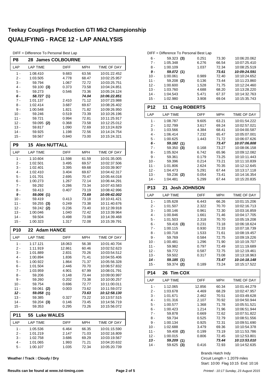| DIFF = Difference To Personal Best Lap |  |
|----------------------------------------|--|
|----------------------------------------|--|

| P8               | <b>28 James COLBOURNE</b>            |                |                |                              |
|------------------|--------------------------------------|----------------|----------------|------------------------------|
| LAP              | <b>LAP TIME</b>                      | <b>DIFF</b>    | <b>MPH</b>     | TIME OF DAY                  |
| $1 -$            | 1:08.410                             | 9.683          | 63.56          | 10:01:22.452                 |
| 2 -              | 1:03.505                             | 4.778          | 68.47          | 10:02:25.957                 |
| 3 -              | 59.794                               | 1.067          | 72.72          | 10:03:25.751                 |
| 4 -              | 59.100 (3)                           | 0.373          | 73.58          | 10:04:24.851                 |
| 5 -              | 59.273                               | 0.546          | 73.36<br>74.04 | 10:05:24.124                 |
| 6 -<br>$7 -$     | 58.727 (1)<br>1:01.137               | 2.410          | 71.12          | 10:06:22.851<br>10:07:23.988 |
| 8 -              | 1:02.414                             | 3.687          | 69.67          | 10:08:26.402                 |
| 9 -              | 1:00.548                             | 1.821          | 71.82          | 10:09:26.950                 |
| $10 -$           | 59.246                               | 0.519          | 73.39          | 10:10:26.196                 |
| 11 -             | 59.721                               | 0.994          | 72.81          | 10:11:25.917                 |
| $12 -$           | 59.095 (2)                           | 0.368          | 73.58          | 10:12:25.012                 |
| $13 -$           | 59.817                               | 1.090          | 72.69          | 10:13:24.829                 |
| $14 -$<br>$15 -$ | 59.925                               | 1.198          | 72.56          | 10:14:24.754                 |
|                  | 59.567                               | 0.840          | 73.00          | 10:15:24.321                 |
| P <sub>9</sub>   | <b>Alex NUTTALL</b><br>15            |                |                |                              |
| LAP              | <b>LAP TIME</b>                      | DIFF           | <b>MPH</b>     | TIME OF DAY                  |
| $1 -$            | 1:10.604                             | 11.598         | 61.59          | 10:01:35.005                 |
| 2 -<br>3 -       | 1:02.501<br>1:02.401                 | 3.495<br>3.395 | 69.57<br>69.68 | 10:02:37.506<br>10:03:39.907 |
| $4 -$            | 1:02.410                             | 3.404          | 69.67          | 10:04:42.317                 |
| 5 -              | 1:01.701                             | 2.695          | 70.47          | 10:05:44.018                 |
| 6 -              | 1:00.273                             | 1.267          | 72.14          | 10:06:44.291                 |
| $7 -$            | 59.292                               | 0.286          | 73.34          | 10:07:43.583                 |
| 8 -              | 59.413                               | 0.407          | 73.19          | 10:08:42.996                 |
| $9 -$            | 59.006 (1)                           |                | 73.69          | 10:09:42.002                 |
| $10 -$           | 59.419                               | 0.413          | 73.18          | 10:10:41.421                 |
| 11 -             | 59.255<br>(3)                        | 0.249          | 73.38          | 10:11:40.676                 |
| $12 -$<br>$13 -$ | 59.242<br>(2)                        | 0.236          | 73.40          | 10:12:39.918<br>10:13:39.964 |
| $14 -$           | 1:00.046<br>59.504                   | 1.040<br>0.498 | 72.42<br>73.08 | 10:14:39.468                 |
| $15 -$           | 1:00.323                             | 1.317          | 72.08          | 10:15:39.791                 |
| <b>P10</b>       | <b>Adam HANCE</b><br>22 <sub>2</sub> |                |                |                              |
| LAP              | <b>LAP TIME</b>                      | <b>DIFF</b>    | <b>MPH</b>     | TIME OF DAY                  |
| $1 -$            | 1:17.121                             | 18.063         | 56.38          | 10:01:40.704                 |
| 2 -              | 1:11.919                             | 12.861         | 60.46          | 10:02:52.623                 |
| $3 -$            | 1:01.889                             | 2.831          | 70.26          | 10:03:54.512                 |
| 4 -              | 1:00.894                             | 1.836          | 71.41          | 10:04:55.406                 |
| 5 -              | 1:00.922                             | 1.864          | 71.37          | 10:05:56.328                 |
| $6 -$            | 1:01.504                             | 2.446          | 70.70          | 10:06:57.832                 |
| $7 -$            | 1:03.959                             | 4.901          | 67.99          | 10:08:01.791                 |
| $8 -$<br>$9 -$   | 59.206<br>59.260                     | 0.148<br>0.202 | 73.44<br>73.38 | 10:09:00.997<br>10:10:00.257 |
| $10 -$           | 59.754                               | 0.696          | 72.77          | 10:11:00.011                 |
| $11 -$           | 59.061<br>(2)                        | 0.003          | 73.62          | 10:11:59.072                 |
| $12 -$           | 59.058<br>(1)                        |                | 73.63          | 10:12:58.130                 |
| $13 -$           | 59.385                               | 0.327          | 73.22          | 10:13:57.515                 |
| $14 -$           | 59.204 (3)                           | 0.146          | 73.45          | 10:14:56.719                 |
| $15 -$           | 59.353                               | 0.295          | 73.26          | 10:15:56.072                 |
| P11              | <b>Luke WALES</b><br>55              |                |                |                              |
| LAP              | <b>LAP TIME</b>                      | DIFF           | <b>MPH</b>     | TIME OF DAY                  |
| 1 -              | 1:05.536                             | 6.464          | 66.35          | 10:01:15.590                 |
| 2 -              | 1:01.219                             | 2.147          | 71.03          | 10:02:16.809                 |
| 3 -              | 1:02.758                             | 3.686          | 69.29          | 10:03:19.567                 |
| $4 -$            | 1:01.065                             | 1.993          | 71.21<br>72.34 | 10:04:20.632<br>10:05:20.739 |
| 5 -              | 1:00.107                             | 1.035          |                |                              |

**Weather / Track : Cloudy / Dry**

#### DIFF = Difference To Personal Best Lap 6 - 59.323 0.251 10:06:20.062 **(3)** 73.30 7 - 1:05.348 6.276 66.54 10:07:25.410<br>8 - 1:00.109 1.037 72.34 10:08:25.519 10:08:25.519 *9 - 59.072 10:09:24.591* **(1)** *73.61* 10:10:24.652 11 - 59.208 **(2)** 0.136 73.44 10:11:23.860<br>12 - 1:00.600 1.528 71.75 10:12:24.460 10:12:24.460 13 - 1:03.760 - 4.688 - 68.20 - 10:13:28.220<br>14 - 1:04.543 - 5.471 - 67.37 - 10:14:32.763 14 - 1:04.543 5.471 67.37 10:14:32.763 15 - 1:02.980 3.908 69.04 10:15:35.743

| P12        | <b>Craig ROBERTS</b><br>11 |             |            |                    |
|------------|----------------------------|-------------|------------|--------------------|
| LAP        | <b>LAP TIME</b>            | <b>DIFF</b> | <b>MPH</b> | <b>TIME OF DAY</b> |
| $1 -$      | 1:08.787                   | 9.605       | 63.21      | 10:01:54.222       |
| $2 -$      | 1:02.799                   | 3.617       | 69.24      | 10:02:57.021       |
| $3 -$      | 1:03.566                   | 4.384       | 68.41      | 10:04:00.587       |
| $4 -$      | 1:06.414                   | 7.232       | 65.47      | 10:05:07.001       |
| $5 -$      | 1:00.625                   | 1.443       | 71.72      | 10:06:07.626       |
| $6 -$      | 59.182 (1)                 |             | 73.47      | 10:07:06.808       |
| $7 -$      | 59.350<br>(3)              | 0.168       | 73.27      | 10:08:06.158       |
| $8 -$      | 1:05.924                   | 6.742       | 65.96      | 10:09:12.082       |
| $9 -$      | 59.361                     | 0.179       | 73.25      | 10:10:11.443       |
| $10 -$     | 59.396                     | 0.214       | 73.21      | 10:11:10.839       |
| $11 -$     | 1:01.806                   | 2.624       | 70.35      | 10:12:12.645       |
| $12 -$     | 1:04.473                   | 5.291       | 67.44      | 10:13:17.118       |
| $13 -$     | 59.236 (2)                 | 0.054       | 73.41      | 10:14:16.354       |
| $14 -$     | 1:04.481                   | 5.299       | 67.44      | 10:15:20.835       |
| <b>P13</b> | <b>Josh JOHNSON</b><br>21  |             |            |                    |
| LAP        | <b>LAP TIME</b>            | <b>DIFF</b> | <b>MPH</b> | <b>TIME OF DAY</b> |
| $1 -$      | 1:05.628                   | 6.443       | 66.26      | 10:01:15.206       |
| $2 -$      | 1:01.507                   | 2.322       | 70.70      | 10:02:16.713       |
| $3 -$      | 1:00.146                   | 0.961       | 72.30      | 10:03:16.859       |
| 4 -        | 1:00.846                   | 1.661       | 71.46      | 10:04:17.705       |
| $5 -$      | 1:01.503                   | 2.318       | 70.70      | 10:05:19.208       |
| $6 -$      | 59.416 (3)                 | 0.231       | 73.18      | 10:06:18.624       |
| $7 -$      | 1:00.115                   | 0.930       | 72.33      | 10:07:18.739       |
| 8 -        | 1:00.718                   | 1.533       | 71.61      | 10:08:19.457       |
| $9 -$      | 59.769                     | 0.584       | 72.75      | 10:09:19.226       |
| $10 -$     | 1:00.481                   | 1.296       | 71.90      | 10:10:19.707       |

| 11 -   | 59.982          | 0.797       | 72.49      | 10:11:19.689 |
|--------|-----------------|-------------|------------|--------------|
| $12 -$ | 59.772          | 0.587       | 72.75      | 10:12:19.461 |
| $13 -$ | 59.502          | 0.317       | 73.08      | 10:13:18.963 |
| $14 -$ | 59.185 (1)      |             | 73.47      | 10:14:18.148 |
| $15 -$ | 59.374 (2)      | 0.189       | 73.24      | 10:15:17.522 |
| P14    | 26 Tim COX      |             |            |              |
| LAP    | <b>LAP TIME</b> | <b>DIFF</b> | <b>MPH</b> | TIME OF DAY  |
| $1 -$  | 1:12.065        | 12.856      | 60.34      | 10:01:44.279 |
| $2-$   | 1:03.678        | 4.469       | 68.29      | 10:02:47.957 |
| 3 -    | 1:01.671        | 2.462       | 70.51      | 10:03:49.628 |
| 4 -    | 1:01.316        | 2.107       | 70.92      | 10:04:50.944 |
| 5 -    | 1:00.577        | 1.368       | 71.78      | 10:05:51.521 |
| 6 -    | 1:00.423        | 1.214       | 71.96      | 10:06:51.944 |
| $7 -$  | 59.878          | 0.669       | 72.62      | 10:07:51.822 |
| 8 -    | 59.734          | 0.525       | 72.79      | 10:08:51.556 |
| 9 -    | 1:00.134        | 0.925       | 72.31      | 10:09:51.690 |
| $10 -$ | 1:02.688        | 3.479       | 69.36      | 10:10:54.378 |
| 11 -   | 59.408<br>(2)   | 0.199       | 73.19      | 10:11:53.786 |
| $12 -$ | 1:00.015        | 0.806       | 72.45      | 10:12:53.801 |
| $13 -$ | 59.209<br>(1)   |             | 73.44      | 10:13:53.010 |
| $14 -$ | 59.625 (3)      | 0.416       | 72.93      | 10:14:52.635 |

Circuit Length = 1.2079 miles Brands Hatch Indy

Start: 10:00 Flag 10:15 End: 10:16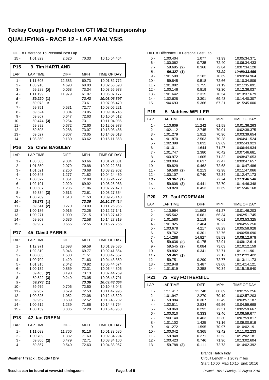|                  | DIFF = Difference To Personal Best Lap |                 |                |                              |
|------------------|----------------------------------------|-----------------|----------------|------------------------------|
| $15 -$           | 1:01.829                               | 2.620           | 70.33          | 10:15:54.464                 |
| P <sub>15</sub>  | <b>Tim HARTLAND</b><br>9               |                 |                |                              |
|                  |                                        |                 |                |                              |
| LAP              | <b>LAP TIME</b>                        | <b>DIFF</b>     | <b>MPH</b>     | TIME OF DAY                  |
| $1 -$            | 1:11.603                               | 12.383          | 60.73          | 10:01:52.772                 |
| 2 -              | 1:03.918                               | 4.698           | 68.03          | 10:02:56.690                 |
| 3 -              | 59.288 (2)                             | 0.068           | 73.34          | 10:03:55.978                 |
| $4 -$<br>5 -     | 1:11.199<br>59.220 (1)                 | 11.979          | 61.07<br>73.43 | 10:05:07.177<br>10:06:06.397 |
| 6 -              | 59.073<br>D                            |                 | 73.61          | 10:07:05.470                 |
| $7 -$            | 59.751                                 | 0.531           | 72.77          | 10:08:05.221                 |
| 8 -              | 59.524                                 | 0.304           | 73.05          | 10:09:04.745                 |
| 9 -              | 59.867                                 | 0.647           | 72.63          | 10:10:04.612                 |
| 10 -             | 59.474 (3)                             | 0.254           | 73.11          | 10:11:04.086                 |
| 11 -             | 59.892                                 | 0.672           | 72.60          | 10:12:03.978                 |
| $12 -$           | 59.508                                 | 0.288           | 73.07          | 10:13:03.486                 |
| 13 -             | 59.527                                 | 0.307           | 73.05          | 10:14:03.013                 |
| $14 -$           | 1:08.350                               | 9.130           | 63.62          | 10:15:11.363                 |
| P <sub>16</sub>  | <b>35 Chris BAGULEY</b>                |                 |                |                              |
| LAP              | <b>LAP TIME</b>                        | DIFF            | <b>MPH</b>     | TIME OF DAY                  |
| $1 -$            | 1:08.305                               | 9.034           | 63.66          | 10:01:21.031                 |
| 2 -              | 1:01.350                               | 2.079           | 70.88          | 10:02:22.381                 |
| 3 -              | 1:01.521                               | 2.250           | 70.68          | 10:03:23.902                 |
| $4 -$            | 1:00.548                               | 1.277           | 71.82          | 10:04:24.450                 |
| 5 -              | 1:00.322                               | 1.051           | 72.08          | 10:05:24.772                 |
| 6 -              | 1:02.191                               | 2.920           | 69.92          | 10:06:26.963                 |
| $7 -$<br>8 -     | 1:00.507<br>59.884<br>(3)              | 1.236<br>0.613  | 71.86<br>72.61 | 10:07:27.470<br>10:08:27.354 |
| 9 -              | 1:00.789                               | 1.518           | 71.53          | 10:09:28.143                 |
| 10 -             | 59.271 (1)                             |                 | 73.36          | 10:10:27.414                 |
| $11 -$           | 59.541<br>(2)                          | 0.270           | 73.03          | 10:11:26.955                 |
| $12 -$           | 1:00.186                               | 0.915           | 72.25          | 10:12:27.141                 |
| 13 -             | 1:00.271                               | 1.000           | 72.15          | 10:13:27.412                 |
| $14 -$           | 59.907                                 | 0.636           | 72.58          | 10:14:27.319                 |
| 15 -             | 59.937                                 | 0.666           | 72.55          | 10:15:27.256                 |
| <b>P17</b>       | 45<br><b>David PARRIS</b>              |                 |                |                              |
| LAP              | <b>LAP TIME</b>                        | <b>DIFF</b>     | MPH            | TIME OF DAY                  |
| 1 -              | 1:12.971                               | 13.698          | 59.59          | 10:01:39.535                 |
| 2 -              | 1:02.319                               | 3.046           | 69.77          | 10:02:41.854                 |
| 3 -<br>4 -       | 1:00.803<br>1:00.702                   | 1.530<br>1.429  | 71.51<br>71.63 | 10:03:42.657<br>10:04:43.359 |
| 5 -              | 1:01.315                               | 2.042           | 70.92          | 10:05:44.674                 |
| 6 -              | 1:00.132                               | 0.859           | 72.31          | 10:06:44.806                 |
| $7 -$            | 59.463 (2)                             | 0.190           | 73.13          | 10:07:44.269                 |
| 8 -              | 59.522<br>(3)                          | 0.249           | 73.05          | 10:08:43.791                 |
| $9-$             | 59.273<br>(1)                          |                 | 73.36          | 10:09:43.064                 |
| 10 -             | 59.979                                 | 0.706           | 72.50          | 10:10:43.043                 |
| 11 -             | 59.952                                 | 0.679           | 72.53          | 10:11:42.995                 |
| $12 -$           | 1:00.325                               | 1.052           | 72.08          | 10:12:43.320                 |
| $13 -$<br>$14 -$ | 59.962<br>1:00.512                     | 0.689           | 72.52          | 10:13:43.282                 |
| 15 -             | 1:00.159                               | 1.239<br>0.886  | 71.86<br>72.28 | 10:14:43.794<br>10:15:43.953 |
| <b>P18</b>       | lan GREEN<br>42                        |                 |                |                              |
| LAP              | <b>LAP TIME</b>                        | <b>DIFF</b>     | <b>MPH</b>     | TIME OF DAY                  |
|                  |                                        |                 |                |                              |
| $1 -$<br>2 -     | 1:11.093<br>1:00.709                   | 11.766<br>1.382 | 61.16<br>71.63 | 10:01:33.585<br>10:02:34.294 |
| $3 -$            | 59.806 (3)                             | 0.479           | 72.71          | 10:03:34.100                 |
| 4 -              | 59.867                                 | 0.540           | 72.63          | 10:04:33.967                 |

**Weather / Track : Cloudy / Dry**

|        | DIFF = Difference To Personal Best Lap |       |       |              |
|--------|----------------------------------------|-------|-------|--------------|
| 5 -    | 1:00.404                               | 1.077 | 71.99 | 10:05:34.371 |
| $6 -$  | 1:00.062                               | 0.735 | 72.40 | 10:06:34.433 |
| $7 -$  | 59.695 (2)                             | 0.368 | 72.84 | 10:07:34.128 |
| 8 -    | 59.327(1)                              |       | 73.29 | 10:08:33.455 |
| 9 -    | 1:01.509                               | 2.182 | 70.69 | 10:09:34.964 |
| $10 -$ | 59.845                                 | 0.518 | 72.66 | 10:10:34.809 |
| $11 -$ | 1:01.082                               | 1.755 | 71.19 | 10:11:35.891 |
| $12 -$ | 1:00.146                               | 0.819 | 72.30 | 10:12:36.037 |
| $13 -$ | 1:01.642                               | 2.315 | 70.54 | 10:13:37.679 |
| $14 -$ | 1:02.628                               | 3.301 | 69.43 | 10:14:40.307 |
| $15 -$ | 1:04.693                               | 5.366 | 67.21 | 10:15:45.000 |

| P <sub>19</sub> | 5.              | <b>Matthew WELLER</b> |       |              |
|-----------------|-----------------|-----------------------|-------|--------------|
| LAP             | <b>LAP TIME</b> | DIFF                  | MPH   | TIME OF DAY  |
| 1 -             | 1:10.609        | 11.242                | 61.58 | 10:01:36.263 |
| $2 -$           | 1:02.112        | 2.745                 | 70.01 | 10:02:38.375 |
| 3 -             | 1:01.279        | 1.912                 | 70.96 | 10:03:39.654 |
| $4 -$           | 1:01.870        | 2.503                 | 70.28 | 10:04:41.524 |
| 5 -             | 1:02.399        | 3.032                 | 69.69 | 10:05:43.923 |
| 6 -             | 1:01.011        | 1.644                 | 71.27 | 10:06:44.934 |
| $7 -$           | 1:01.747        | 2.380                 | 70.42 | 10:07:46.681 |
| 8 -             | 1:00.972        | 1.605                 | 71.32 | 10:08:47.653 |
| 9 -             | 1:00.004        | 0.637                 | 72.47 | 10:09:47.657 |
| $10 -$          | 59.829          | 0.462                 | 72.68 | 10:10:47.486 |
| $11 -$          | 59.580<br>(2)   | 0.213                 | 72.98 | 10:11:47.066 |
| $12 -$          | 1:00.107        | 0.740                 | 72.34 | 10.12.47.173 |
| $13 -$          | 59.367 (1)      |                       | 73.24 | 10:13:46.540 |
| 14 -            | 59.808<br>(3)   | 0.441                 | 72.70 | 10.14.46.348 |
| 15 -            | 59.820          | 0.453                 | 72.69 | 10:15:46.168 |

| <b>P20</b> | 27 Paul FOREMAN |             |            |              |  |  |  |  |  |  |
|------------|-----------------|-------------|------------|--------------|--|--|--|--|--|--|
| LAP        | <b>LAP TIME</b> | <b>DIFF</b> | <b>MPH</b> | TIME OF DAY  |  |  |  |  |  |  |
| 1 -        | 1:10.964        | 11.503      | 61.27      | 10:01:46.203 |  |  |  |  |  |  |
| 2 -        | 1:05.542        | 6.081       | 66.34      | 10:02:51.745 |  |  |  |  |  |  |
| $3 -$      | 1:01.580        | 2.119       | 70.61      | 10:03:53.325 |  |  |  |  |  |  |
| $4 -$      | 1:01.925        | 2.464       | 70.22      | 10:04:55.250 |  |  |  |  |  |  |
| $5 -$      | 1:03.678        | 4.217       | 68.29      | 10:05:58.928 |  |  |  |  |  |  |
| 6 -        | 59.762          | 0.301       | 72.76      | 10:06:58.690 |  |  |  |  |  |  |
| $7 -$      | 1:14.288        | 14.827      | 58.53      | 10:08:12.978 |  |  |  |  |  |  |
| $8 -$      | 59.636<br>(3)   | 0.175       | 72.91      | 10:09:12.614 |  |  |  |  |  |  |
| $9 -$      | 59.545<br>(2)   | 0.084       | 73.03      | 10:10:12.159 |  |  |  |  |  |  |
| 10 -       | 59.802          | 0.341       | 72.71      | 10:11:11.961 |  |  |  |  |  |  |
| 11 -       | 59.461(1)       |             | 73.13      | 10:12:11.422 |  |  |  |  |  |  |
| 12 -       | 59.751          | 0.290       | 72.77      | 10:13:11.173 |  |  |  |  |  |  |
| 13 -       | 1:02.948        | 3.487       | 69.08      | 10:14:14.121 |  |  |  |  |  |  |
| 14 -       | 1:01.819        | 2.358       | 70.34      | 10:15:15.940 |  |  |  |  |  |  |

| <b>TIME OF DAY</b> |
|--------------------|
| 10:01:55.256       |
| 10:02:57.203       |
| 10:03:57.187       |
| 10:04:59.698       |
| 10:05:59.667       |
| 10:06:59.677       |
| 10:07:59.817       |
| 10:09:00.919       |
| 10:10:02.191       |
| 10:11:02.233       |
| 10:12:02.181       |
| 10:13:02.604       |
| 10:14:02.392       |
|                    |

Brands Hatch Indy

Start: 10:00 Flag 10:15 End: 10:16 Circuit Length = 1.2079 miles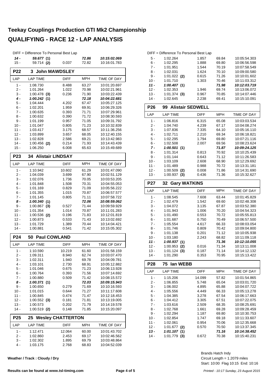|                  | DIFF = Difference To Personal Best Lap |                          |                |                              |
|------------------|----------------------------------------|--------------------------|----------------|------------------------------|
| $14 -$<br>$15 -$ | 59.677 (1)<br>59.714 (2)               | 0.037                    | 72.86<br>72.82 | 10:15:02.069<br>10:16:01.783 |
| <b>P22</b>       | <b>John MAWDSLEY</b><br>$\mathbf{3}$   |                          |                |                              |
| LAP              | <b>LAP TIME</b>                        | <b>DIFF</b>              | <b>MPH</b>     | TIME OF DAY                  |
| $1 -$            | 1:08.730                               | 8.488                    | 63.27          | 10:01:20.697                 |
| 2 -              | 1:01.264                               | 1.022                    | 70.98          | 10:02:21.961                 |
| 3 -              | $1:00.478$ (3)                         | 0.236                    | 71.90          | 10:03:22.439                 |
| 4 -              | 1:00.242(1)                            |                          | 72.18          | 10:04:22.681                 |
| 5 -              | 1:04.444                               | 4.202                    | 67.47          | 10:05:27.125                 |
| 6 -              | 1:02.201                               | 1.959                    | 69.91          | 10:06:29.326                 |
| $7 -$            | 1:00.635                               | 0.393                    | 71.71          | 10:07:29.961                 |
| 8 -<br>9 -       | 1:00.632<br>1:01.199                   | 0.390                    | 71.72<br>71.05 | 10:08:30.593<br>10:09:31.792 |
| $10 -$           | 1:01.047                               | 0.957<br>0.805           | 71.23          | 10:10:32.839                 |
| 11 -             | 1:03.417                               | 3.175                    | 68.57          | 10:11:36.256                 |
| 12 -             | 1:03.899                               | 3.657                    | 68.05          | 10:12:40.155                 |
| $13 -$           | 1:02.828                               | 2.586                    | 69.21          | 10:13:42.983                 |
| 14 -             | $1:00.456$ (2)                         | 0.214                    | 71.93          | 10:14:43.439                 |
| $15 -$           | 1:06.250                               | 6.008                    | 65.63          | 10:15:49.689                 |
| P <sub>23</sub>  | <b>Alistair LINDSAY</b><br>34          |                          |                |                              |
| LAP              | <b>LAP TIME</b>                        | <b>DIFF</b>              | <b>MPH</b>     | TIME OF DAY                  |
| $1 -$            | 1:10.942                               | 10.602                   | 61.29          | 10:01:47.090                 |
| 2 -              | 1:04.039                               | 3.699                    | 67.90          | 10:02:51.129                 |
| 3 -              | 1:02.076                               | 1.736                    | 70.05          | 10:03:53.205                 |
| 4 -              | 1:01.848                               | 1.508                    | 70.31          | 10:04:55.053                 |
| 5 -              | 1:01.169                               | 0.829                    | 71.09          | 10:05:56.222                 |
| 6 -              | 1:01.355                               | 1.015                    | 70.87          | 10:06:57.577                 |
| 7 -              | 1:01.145                               | 0.805                    | 71.11          | 10:07:58.722                 |
| 8 -              | 1:00.340(1)                            |                          | 72.06          | 10:08:59.062                 |
| 9 -              | 1:00.867<br>(3)                        | 0.527                    | 71.44          | 10:09:59.929                 |
| $10 -$           | 1:01.354                               | 1.014                    | 70.87          | 10:11:01.283                 |
| 11 -             | $1:00.536$ (2)                         | 0.196                    | 71.83          | 10:12:01.819                 |
| $12 -$           | 1:00.873                               | 0.533                    | 71.43          | 10:13:02.692                 |
| 13 -<br>$14 -$   | 1:01.729<br>1:00.881                   | 1.389<br>0.541           | 70.44<br>71.42 | 10:14:04.421<br>10:15:05.302 |
| P <sub>24</sub>  | 50 Paul COWLAND                        |                          |                |                              |
| LAP              | <b>LAP TIME</b>                        | <b>DIFF</b>              | <b>MPH</b>     | TIME OF DAY                  |
| $1 -$            | 1:10.590                               | 10.219                   | 61.60          | 10:01:58.159                 |
| $2 -$            | 1:09.311                               | 8.940                    | 62.74          | 10:03:07.470                 |
| $3 -$            | 1:02.311                               | 1.940                    | 69.78          | 10:04:09.781                 |
| 4 -              | 1:03.101                               | 2.730                    | 68.91          | 10:05:12.882                 |
| $5 -$            | 1:01.046                               | 0.675                    | 71.23          | 10:06:13.928                 |
| 6 -              | 1:00.764                               | 0.393                    | 71.56          | 10:07:14.692                 |
| $7 -$            | 1:00.880                               | 0.509                    | 71.42          | 10:08:15.572                 |
| 8 -              | 1:00.371(1)                            |                          | 72.03          | 10:09:15.943                 |
| 9 -              | 1:00.650                               | 0.279                    | 71.69          | 10:10:16.593                 |
| $10 -$           | 1:01.015                               | 0.644                    | 71.27          | 10:11:17.608                 |
| $11 -$           | 1:00.845                               | 0.474                    | 71.47          | 10:12:18.453                 |
| $12 -$           | $1:00.552$ (3)                         | 0.181                    | 71.81          | 10:13:19.005                 |
| $13 -$<br>$14 -$ | 1:00.573<br>$1:00.519$ (2)             | 0.202<br>0.148           | 71.79<br>71.85 | 10:14:19.578<br>10:15:20.097 |
| P <sub>25</sub>  | 25                                     | <b>Wesley CHATTERTON</b> |                |                              |
| LAP              | <b>LAP TIME</b>                        | DIFF                     | <b>MPH</b>     | TIME OF DAY                  |
| $1 -$            | 1:12.471                               | 12.064                   | 60.00          | 10:01:43.702                 |
| $2 -$            | 1:02.860                               | 2.453                    | 69.17          | 10:02:46.562                 |
| $3 -$            | 1:02.302                               | 1.895                    | 69.79          | 10:03:48.864                 |
| 4 -              | 1:03.175                               | 2.768                    | 68.83          | 10:04:52.039                 |

**Weather / Track : Cloudy / Dry**

#### DIFF = Difference To Personal Best Lap 5 - 1:02.264 1.857 69.84 10:05:54.303<br>6 - 1:02.295 1.888 69.80 10:06:56.598 6 - 1:02.295 1.888 10:06:56.598 69.80 7 - 1:01.951 1.544 10:07:58.549 70.19 8 - 1:02.031 1.624 70.10 10:09:00.580

9 - 1:01.022 0.615 10:10:01.602 **(2)** 71.26 10 - 1:01.710 1.303 70.46 10:11:03.312

| $12 -$     | 1:00.407 (1)                  |             | 71.98      | 10:12:03.719       |
|------------|-------------------------------|-------------|------------|--------------------|
|            | 1:02.353                      | 1.946       | 69.74      | 10:13:06.072       |
| $13 -$     | $1:01.374$ (3)                | 0.967       | 70.85      | 10:14:07.446       |
| $14 -$     | 1:02.645                      | 2.238       | 69.41      | 10:15:10.091       |
| P26        | <b>Alistair SEDWELL</b><br>99 |             |            |                    |
| LAP        | <b>LAP TIME</b>               | <b>DIFF</b> | <b>MPH</b> | <b>TIME OF DAY</b> |
| 1 -        | 1:06.816                      | 6.315       | 65.08      | 10:03:03.534       |
| $2 -$      | 1:04.740                      | 4.239       | 67.17      | 10:04:08.274       |
| $3 -$      | 1:07.836                      | 7.335       | 64.10      | 10:05:16.110       |
| $4 -$      | 1:02.711                      | 2.210       | 69.34      | 10:06:18.821       |
| 5 -        | 1:02.295                      | 1.794       | 69.80      | 10:07:21.116       |
| $6 -$      | 1:02.508                      | 2.007       | 69.56      | 10:08:23.624       |
| $7 -$      | 1:00.501(1)                   |             | 71.87      | 10:09:24.125       |
| $8 -$      | 1:01.314                      | 0.813       | 70.92      | 10:10:25.439       |
| $9 -$      | 1:01.144                      | 0.643       | 71.12      | 10:11:26.583       |
| $10 -$     | 1:03.109                      | 2.608       | 68.90      | 10:12:29.692       |
| $11 -$     | 1:01.489                      | 0.988       | 70.72      | 10:13:31.181       |
| $12 -$     | $1:00.509$ (2)                | 0.008       | 71.86      | 10:14:31.690       |
| $13 -$     | 1:00.937<br>(3)               | 0.436       | 71.36      | 10:15:32.627       |
| <b>P27</b> | <b>Gary WATKINS</b><br>32     |             |            |                    |
| LAP        | <b>LAP TIME</b>               | <b>DIFF</b> | <b>MPH</b> | <b>TIME OF DAY</b> |
| $1 -$      | 1:08.545                      | 7.608       | 63.44      | 10:01:45.829       |
| $2 -$      | 1:02.479                      |             |            |                    |
|            |                               | 1.542       | 69.60      | 10:02:48.308       |
| $3 -$      | 1:04.072                      | 3.135       | 67.87      | 10:03:52.380       |
| 4 -        | 1:01.943                      | 1.006       | 70.20      | 10:04:54.323       |
| $5 -$      | 1:01.490                      | 0.553       | 70.72      | 10:05:55.813       |
| $6 -$      | 1:01.687                      | 0.750       | 70.49      | 10:06:57.500       |
| $7 -$      | 1:05.554                      | 4.617       | 66.33      | 10:08:03.054       |
| $8 -$      | 1:01.746                      | 0.809       | 70.42      | 10:09:04.800       |
| $9 -$      | 1:01.138                      | 0.201       | 71.12      | 10:10:05.938       |
| $10 -$     | 1:03.180                      | 2.243       | 68.82      | 10:11:09.118       |
| $11 -$     | 1:00.937(1)                   |             | 71.36      | 10:12:10.055       |
| $12 -$     | 1:00.953<br>(2)               | 0.016       | 71.34      | 10:13:11.008       |
| $13 -$     | $1:01.124$ (3)                | 0.187       | 71.14      | 10:14:12.132       |
| $14 -$     | 1:01.290                      | 0.353       | 70.95      | 10:15:13.422       |

| LAP    | <b>LAP TIME</b> | <b>DIFF</b> | <b>MPH</b> | TIME OF DAY  |
|--------|-----------------|-------------|------------|--------------|
| 1 -    | 1:15.206        | 14.099      | 57.82      | 10:01:54.865 |
| 2 -    | 1:06.855        | 5.748       | 65.04      | 10:03:01.720 |
| 3 -    | 1:06.002        | 4.895       | 65.88      | 10:04:07.722 |
| 4 -    | 1:05.556        | 4.449       | 66.33      | 10:05:13.278 |
| 5 -    | 1:04.385        | 3.278       | 67.54      | 10:06:17.663 |
| 6 -    | 1:04.412        | 3.305       | 67.51      | 10:07:22.075 |
| 7 -    | 1:03.616        | 2.509       | 68.35      | 10:08:25.691 |
| 8 -    | 1:02.768        | 1.661       | 69.28      | 10:09:28.459 |
| 9 -    | 1:02.294        | 1.187       | 69.80      | 10:10:30.753 |
| $10 -$ | 1:02.854        | 1.747       | 69.18      | 10:11:33.607 |
| 11 -   | 1:02.061        | 0.954       | 70.06      | 10:12:35.668 |
| $12 -$ | 1:01.677<br>(2) | 0.570       | 70.50      | 10:13:37.345 |
| $13 -$ | 1:01.107<br>(1) |             | 71.16      | 10:14:38.452 |
| 14 -   | 1:01.779<br>(3) | 0.672       | 70.38      | 10:15:40.231 |

Start: 10:00 Flag 10:15 End: 10:16 Circuit Length = 1.2079 miles Brands Hatch Indy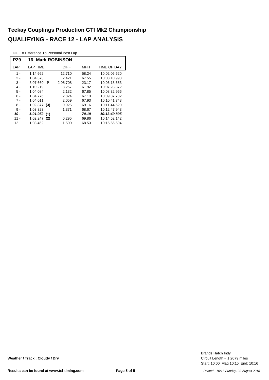DIFF = Difference To Personal Best Lap

| P29   | <b>16 Mark ROBINSON</b> |             |            |              |  |  |  |  |  |
|-------|-------------------------|-------------|------------|--------------|--|--|--|--|--|
| LAP   | <b>LAP TIME</b>         | <b>DIFF</b> | <b>MPH</b> | TIME OF DAY  |  |  |  |  |  |
| $1 -$ | 1:14.662                | 12.710      | 58.24      | 10:02:06.620 |  |  |  |  |  |
| 2.    | 1:04.373                | 2.421       | 67.55      | 10:03:10.993 |  |  |  |  |  |
| 3 -   | 3:07.660<br>P           | 2:05.708    | 23.17      | 10:06:18.653 |  |  |  |  |  |
| $4 -$ | 1:10.219                | 8.267       | 61.92      | 10:07:28.872 |  |  |  |  |  |
| $5 -$ | 1:04.084                | 2.132       | 67.85      | 10:08:32.956 |  |  |  |  |  |
| 6 -   | 1:04.776                | 2.824       | 67.13      | 10:09:37.732 |  |  |  |  |  |
| $7 -$ | 1:04.011                | 2.059       | 67.93      | 10:10:41.743 |  |  |  |  |  |
| 8 -   | 1:02.877<br>(3)         | 0.925       | 69.16      | 10:11:44.620 |  |  |  |  |  |
| $9 -$ | 1:03.323                | 1.371       | 68.67      | 10:12:47.943 |  |  |  |  |  |
| 10 -  | 1:01.952(1)             |             | 70.19      | 10:13:49.895 |  |  |  |  |  |
| 11 -  | 1:02.247<br>(2)         | 0.295       | 69.86      | 10:14:52.142 |  |  |  |  |  |
| 12 -  | 1:03.452                | 1.500       | 68.53      | 10:15:55.594 |  |  |  |  |  |

Start: 10:00 Flag 10:15 End: 10:16 Circuit Length = 1.2079 miles Brands Hatch Indy

**Weather / Track : Cloudy / Dry**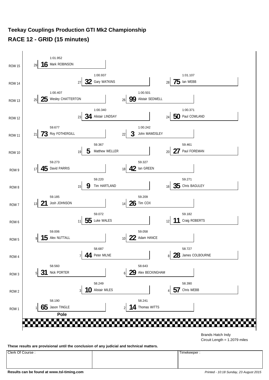#### **Teekay Couplings Production GTI Mk2 Championship RACE 12 - GRID (15 minutes)**



Circuit Length = 1.2079 miles

**These results are provisional until the conclusion of any judicial and technical matters.**

Clerk Of Course : Timekeeper :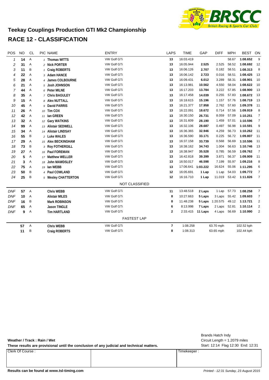

#### **Teekay Couplings Production GTI Mk2 Championship RACE 12 - CLASSIFICATION**

| POS            | <b>NO</b> | <b>CL</b>      | PIC NAME                   | <b>ENTRY</b>          | <b>LAPS</b>    | <b>TIME</b> | GAP      | <b>DIFF</b> | <b>MPH</b> | <b>BEST</b> | ON             |
|----------------|-----------|----------------|----------------------------|-----------------------|----------------|-------------|----------|-------------|------------|-------------|----------------|
| $\mathbf{1}$   | 14        | Α              | 1 Thomas WITTS             | VW Golf GTi           | 13             | 16:03.419   |          |             | 58.67      | 1:08.652    | 9              |
| 2              | 31        | Α              | 2 Nick PORTER              | VW Golf GTi           | 13             | 16:05.944   | 2.525    | 2.525       | 58.52      | 1:08.692    | 12             |
| 3              | 11        | Β              | 1 Craig ROBERTS            | VW Golf GTi           | 13             | 16:06.126   | 2.707    | 0.182       | 58.51      | 1:08.313    | 8              |
| 4              | 22        | Α              | 3 Adam HANCE               | <b>VW Golf GTi</b>    | 13             | 16:06.142   | 2.723    | 0.016       | 58.51      | 1:08.425    | 13             |
| 5              | 28        | Α              | 4 James COLBOURNE          | VW Golf GTi           | 13             | 16:09.431   | 6.012    | 3.289       | 58.31      | 1:08.901    | 10             |
| 6              | 21        | Α              | 5 Josh JOHNSON             | VW Golf GTi           | 13             | 16:13.981   | 10.562   | 4.550       | 58.04      | 1:08.622    | 10             |
| $\overline{7}$ | 44        | Α              | 6 Peter MILNE              | <b>VW Golf GTi</b>    | 13             | 16:17.203   | 13.784   | 3.222       | 57.85      | 1:08.900    | 13             |
| 8              | 35        | Α              | 7 Chris BAGULEY            | <b>VW Golf GTi</b>    | 13             | 16:17.458   | 14.039   | 0.255       | 57.83      | 1:08.672    | 13             |
| 9              | 15        | Α              | 8 Alex NUTTALL             | VW Golf GTi           | 13             | 16:18.615   | 15.196   | 1.157       | 57.76      | 1:08.719    | 13             |
| 10             | 45        | Α              | 9 David PARRIS             | VW Golf GTi           | 13             | 16:21.377   | 17.958   | 2.762       | 57.60      | 1:09.378    | 11             |
| 11             | 26        | Α              | 10 Tim COX                 | <b>VW Golf GTi</b>    | 13             | 16:22.091   | 18.672   | 0.714       | 57.56      | 1:09.919    | 8              |
| 12             | 42        | Α              | 11 Ian GREEN               | VW Golf GTi           | 13             | 16:30.150   | 26.731   | 8.059       | 57.09      | 1:10.251    | $\overline{7}$ |
| 13             | 32        | Α              | 12 Gary WATKINS            | VW Golf GTi           | 13             | 16:31.609   | 28.190   | 1.459       | 57.01      | 1:10.596    | $\overline{7}$ |
| 14             | 99        | Α              | 13 Alistair SEDWELL        | VW Golf GTi           | 13             | 16:32.106   | 28.687   | 0.497       | 56.98      | 1:10.591    | 9              |
| 15             | 34        | Α              | 14 Alistair LINDSAY        | <b>VW Golf GTi</b>    | 13             | 16:36.365   | 32.946   | 4.259       | 56.73      | 1:10.262    | 11             |
| 16             | 55        | B              | 2 Luke WALES               | <b>VW Golf GTI</b>    | 13             | 16:36.590   | 33.171   | 0.225       | 56.72      | 1:09.807    | 11             |
| 17             | 29        | Α              | 15 Alex BECKINGHAM         | VW Golf GTi           | 13             | 16:37.158   | 33.739   | 0.568       | 56.69      | 1:10.596    | 11             |
| 18             | 73        | B              | 3 Roy FOTHERGILL           | VW Golf GTi           | 13             | 16:38.162   | 34.743   | 1.004       | 56.63      | 1:10.746    | 13             |
| 19             | 27        | Α              | 16 Paul FOREMAN            | <b>VW Golf GTi</b>    | 13             | 16:38.947   | 35.528   | 0.785       | 56.59      | 1:09.762    | $\overline{7}$ |
| 20             | 5         | Α              | 17 Matthew WELLER          | <b>VW Golf GTi</b>    | 13             | 16:42.818   | 39.399   | 3.871       | 56.37      | 1:09.909    | 11             |
| 21             | 3         | Α              | <b>John MAWDSLEY</b><br>18 | <b>VW Golf GTi</b>    | 13             | 16:50.017   | 46.598   | 7.199       | 55.97      | 1:09.216    | 8              |
| 22             | 75        | Α              | 19 Ian WEBB                | <b>VW Golf GTi</b>    | 13             | 17:06.641   | 1:03.222 | 16.624      | 55.06      | 1:11.295    | 6              |
| 23             | 50        | B              | 4 Paul COWLAND             | VW Golf GTi           | 12             | 16:05.691   | 1 Lap    | 1 Lap       | 54.03      | 1:09.772    | $\overline{7}$ |
| 24             | 25        | B              | 5 Wesley CHATTERTON        | VW Golf GTi           | 12             | 16:16.710   | 1 Lap    | 11.019      | 53.42      | 1:11.826    | $\overline{7}$ |
|                |           |                |                            | <b>NOT CLASSIFIED</b> |                |             |          |             |            |             |                |
| <b>DNF</b>     | 57        | $\overline{A}$ | <b>Chris WEBB</b>          | <b>VW Golf GTi</b>    | 11             | 13:48.518   | 2 Laps   | 1 Lap       | 57.73      | 1:08.258    | $\overline{7}$ |
| <b>DNF</b>     | 10        | Α              | <b>Alistair MILES</b>      | <b>VW Golf GTi</b>    | 8              | 10:27.663   | 5 Laps   | 3 Laps      | 55.42      | 1:09.603    | $\overline{7}$ |
| <b>DNF</b>     | 16        | B              | <b>Mark ROBINSON</b>       | <b>VW Golf GTi</b>    | 8              | 11:48.238   | 5 Laps   | 1:20.575    | 49.12      | 1:13.721    | $\overline{c}$ |
| <b>DNF</b>     | 65        | Α              | <b>Jason TINGLE</b>        | VW Golf GTi           | 6              | 8:13.998    | 7 Laps   | 2 Laps      | 52.81      | 1:10.114    | $\overline{c}$ |
| <b>DNF</b>     | 9         | $\overline{A}$ | <b>Tim HARTLAND</b>        | VW Golf GTi           | 2              | 2:33.415    | 11 Laps  | 4 Laps      | 56.69      | 1:10.990    | $\overline{2}$ |
|                |           |                |                            | <b>FASTEST LAP</b>    |                |             |          |             |            |             |                |
|                | 57        | Α              | <b>Chris WEBB</b>          | VW Golf GTi           | $\overline{7}$ | 1:08.258    |          | 63.70 mph   |            | 102.52 kph  |                |
|                | 11        | B              | <b>Craig ROBERTS</b>       | <b>VW Golf GTi</b>    | 8              | 1:08.313    |          | 63.65 mph   |            | 102.44 kph  |                |
|                |           |                |                            |                       |                |             |          |             |            |             |                |

These results are provisional until the conclusion of any judicial and technical matters. Start: 12:14 Flag 12:30 End: 12:31

Clerk Of Course : Timekeeper :

Circuit Length = 1.2079 miles Brands Hatch Indy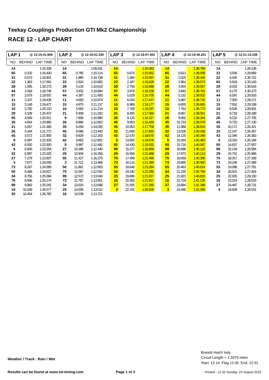| LAP <sub>1</sub> |               | @12:15:41.908   | LAP <sub>2</sub> |               | @12:16:51.339   | LAP <sub>3</sub>        |               | @12:18:07.402   | LAP <sub>4</sub>        |               | @12:19:46.201   | LAP <sub>5</sub> |               | @12:21:14.339   |
|------------------|---------------|-----------------|------------------|---------------|-----------------|-------------------------|---------------|-----------------|-------------------------|---------------|-----------------|------------------|---------------|-----------------|
| NO               | <b>BEHIND</b> | <b>LAP TIME</b> | <b>NO</b>        | <b>BEHIND</b> | <b>LAP TIME</b> | <b>NO</b>               | <b>BEHIND</b> | <b>LAP TIME</b> | <b>NO</b>               | <b>BEHIND</b> | <b>LAP TIME</b> | NO.              | <b>BEHIND</b> | <b>LAP TIME</b> |
| 14               |               | 1:16.328        | 14               |               | 1:09.431        | 14                      |               | 1:16.063        | 14                      |               | 1:38.799        | 14               |               | 1:28.138        |
| 65               | 0.102         | 1:16.430        | 65               | 0.785         | 1:10.114        | 65                      | 0.674         | 1:15.952        | 65                      | 0.813         | 1:38.938        | 31               | 3.556         | 1:29.669        |
| 31               | 0.573         | 1:16.901        | 31               | 1.880         | 1:10.738        | 31                      | 1.384         | 1:15.567        | 31                      | 2.025         | 1:39.440        | 22               | 5.545         | 1:30.722        |
| 22               | 1.363         | 1:17.691        | 22               | 2.624         | 1:10.692        | 22                      | 2.187         | 1:15.626        | 22                      | 2.961         | 1:39.573        | 65               | 5.818         | 1:33.143        |
| 28               | 1.945         | 1:18.273        | 28               | 3.133         | 1:10.619        | 28                      | 2.756         | 1:15.686        | 28                      | 3.554         | 1:39.597        | 28               | 6.032         | 1:30.616        |
| 44               | 2.418         | 1:18.746        | 57               | 3.932         | 1:10.684        | 57                      | 3.978         | 1:16.109        | 57                      | 3.940         | 1:38.761        | 57               | 6.175         | 1:30.373        |
| 57               | 2.679         | 1:19.007        | 44               | 4.387         | 1:11.400        | 44                      | 5.029         | 1:16.705        | 44                      | 5.232         | 1:39.002        | 44               | 6.597         | 1:29.503        |
| 11               | 3.107         | 1:19.435        | 11               | 4.650         | 1:10.974        | 11                      | 6.034         | 1:17.447        | 11                      | 5.967         | 1:38.732        | 11               | 7.000         | 1:29.171        |
| 15               | 3.149         | 1:19.477        | 15               | 4.875         | 1:11.157        | 15                      | 6.989         | 1:18.177        | 15                      | 6.855         | 1:38.665        | 15               | 7.916         | 1:29.199        |
| 10               | 3.782         | 1:20.110        | 10               | 5.565         | 1:11.214        | 10                      | 7.789         | 1:18.287        | 10                      | 7.763         | 1:38.773        | 10               | 8.526         | 1:28.901        |
| 29               | 4.109         | 1:20.437        | 21               | 6.908         | 1:11.282        | 21                      | 8.405         | 1:17.560        | 21                      | 8.667         | 1:39.061        | 21               | 8.718         | 1:28.189        |
| 55               | 4.583         | 1:20.911        | 9                | 7.656         | 1:10.990        | 26                      | 9.120         | 1:16.317        | 26                      | 9.665         | 1:39.344        | 26               | 9.232         | 1:27.705        |
| 35               | 4.654         | 1:20.982        | 26               | 8.866         | 1:12.853        | 45                      | 9.953         | 1:16.430        | 45                      | 10.733        | 1:39.579        | 45               | 9.725         | 1:27.130        |
| 21               | 5.057         | 1:21.385        | 35               | 9.258         | 1:14.035        | 35                      | 10.953        | 1:17.758        | 35                      | 11.988        | 1:39.834        | 35               | 10.171        | 1:26.321        |
| 26               | 5.444         | 1:21.772        | 45               | 9.586         | 1:13.445        | 32                      | 11.659        | 1:17.893        | 32                      | 13.028        | 1:40.168        | 32               | 11.247        | 1:26.357        |
| 45               | 5.572         | 1:21.900        | 32               | 9.829         | 1:12.263        | 42                      | 12.570        | 1:18.670        | 42                      | 14.120        | 1:40.349        | 42               | 12.345        | 1:26.363        |
| 9                | 6.097         | 1:22.425        | 42               | 9.963         | 1:12.802        | 5                       | 13.600        | 1:19.676        | 5                       | 15.264        | 1:40.463        | 5                | 13.310        | 1:26.184        |
| 42               | 6.592         | 1:22.920        | 5                | 9.987         | 1:12.492        | 50                      | 14.430        | 1:18.632        | 50                      | 15.718        | 1:40.087        | 50               | 14.637        | 1:27.057        |
| 5                | 6.926         | 1:23.254        | 27               | 10.288        | 1:12.440        | 99                      | 15.377        | 1:18.868        | 99                      | 16.688        | 1:40.110        | 99               | 15.134        | 1:26.584        |
| 32               | 6.997         | 1:23.325        | 29               | 10.934        | 1:16.256        | 29                      | 16.559        | 1:21.688        | 29                      | 17.873        | 1:40.113        | 29               | 15.701        | 1:25.966        |
| 27               | 7.279         | 1:23.607        | 55               | 11.427        | 1:16.275        | 75                      | 17.499        | 1:21.495        | 75                      | 19.056        | 1:40.356        | 75               | 18.257        | 1:27.339        |
| 3                | 7.677         | 1:24.005        | 3                | 11.712        | 1:13.466        | 73                      | 18.114        | 1:21.390        | 73                      | 19.895        | 1:40.580        | 73               | 19.246        | 1:27.489        |
| 73               | 8.267         | 1:24.595        | 50               | 11.861        | 1:12.803        | 55                      | 18.648        | 1:23.284        | 55                      | 20.463        | 1:40.614        | 55               | 20.086        | 1:27.761        |
| 50               | 8.489         | 1:24.817        | 75               | 12.067        | 1:12.552        | 34                      | 19.240        | 1:22.280        | 34                      | 21.235        | 1:40.794        | 34               | 20.501        | 1:27.404        |
| 34               | 8.756         | 1:25.084        | 99               | 12.572        | 1:13.040        | 25                      | 19.889        | 1:21.917        | 25                      | 21.923        | 1:40.833        | 25               | 22.935        | 1:29.150        |
| 75               | 8.946         | 1:25.274        | 73               | 12.787        | 1:13.951        | 16                      | 20.393        | 1:21.917        | 16                      | 22.729        | 1:41.135        | 16               | 23.224        | 1:28.633        |
| 99               | 8.963         | 1:25.291        | 34               | 13.023        | 1:13.698        | 27                      | 21.505        | 1:27.280        | 27                      | 23.894        | 1:41.188        | 27               | 24.487        | 1:28.731        |
| 16               | 10.249        | 1:26.577        | 25               | 14.035        | 1:13.012        | $\overline{\mathbf{3}}$ | 22.155        | 1:26.506        | $\overline{\mathbf{3}}$ | 24.446        | 1:41.090        | 3                | 24.839        | 1:28.531        |
| 25               | 10.454        | 1:26.782        | 16               | 14.539        | 1:13.721        |                         |               |                 |                         |               |                 |                  |               |                 |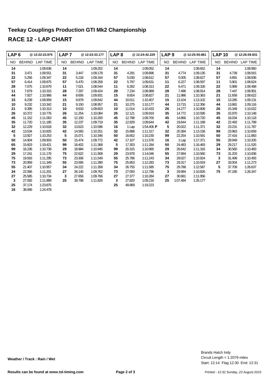| LAP <sub>6</sub> |               | @12:22:23.975   | LAP <sub>7</sub> |               | @12:23:33.177   | LAP <sub>8</sub> |               | @12:24:42.229   | LAP <sub>9</sub> |               | @12:25:50.881   | <b>LAP 10</b> |               | @12:26:59.831   |
|------------------|---------------|-----------------|------------------|---------------|-----------------|------------------|---------------|-----------------|------------------|---------------|-----------------|---------------|---------------|-----------------|
| NO.              | <b>BEHIND</b> | <b>LAP TIME</b> | <b>NO</b>        | <b>BEHIND</b> | <b>LAP TIME</b> | NO.              | <b>BEHIND</b> | <b>LAP TIME</b> | NO.              | <b>BEHIND</b> | <b>LAP TIME</b> | NO.           | <b>BEHIND</b> | <b>LAP TIME</b> |
| 14               |               | 1:09.636        | 14               |               | 1:09.202        | 14               |               | 1:09.052        | 14               |               | 1:08.652        | 14            |               | 1:08.950        |
| 31               | 3.471         | 1:09.551        | 31               | 3.447         | 1:09.178        | 31               | 4.291         | 1:09.896        | 31               | 4.774         | 1:09.135        | 31            | 4.739         | 1:08.915        |
| 22               | 5.256         | 1:09.347        | 22               | 5.218         | 1:09.164        | 57               | 5.030         | 1:08.612        | 57               | 5.005         | 1:08.627        | 57            | 4.891         | 1:08.836        |
| 57               | 6.414         | 1:09.875        | 57               | 5.470         | 1:08.258        | 22               | 5.797         | 1:09.631        | 11               | 6.227         | 1:08.597        | 11            | 5.901         | 1:08.624        |
| 28               | 7.075         | 1:10.679        | 11               | 7.021         | 1:08.544        | 11               | 6.282         | 1:08.313        | 22               | 6.471         | 1:09.326        | 22            | 5.989         | 1:08.468        |
| 11               | 7.679         | 1:10.315        | 28               | 7.297         | 1:09.424        | 28               | 7.234         | 1:08.989        | 28               | 7.496         | 1:08.914        | 28            | 7.447         | 1:08.901        |
| 44               | 7.927         | 1:10.966        | 44               | 8.656         | 1:09.931        | 15               | 8.654         | 1:08.827        | 21               | 11.986        | 1:10.363        | 21            | 11.658        | 1:08.622        |
| 15               | 8.239         | 1:09.959        | 15               | 8.879         | 1:09.842        | 44               | 10.011        | 1:10.407        | 15               | 13.104        | 1:13.102        | 15            | 13.285        | 1:09.131        |
| 10               | 9.232         | 1:10.342        | 21               | 9.150         | 1:08.957        | 21               | 10.275        | 1:10.177        | 44               | 13.715        | 1:12.356        | 44            | 13.881        | 1:09.116        |
| 21               | 9.395         | 1:10.313        | 10               | 9.633         | 1:09.603        | 10               | 11.014        | 1:10.433        | 26               | 14.277        | 1:10.808        | 26            | 15.349        | 1:10.022        |
| 26               | 10.372        | 1:10.776        | 26               | 11.254        | 1:10.084        | 26               | 12.121        | 1:09.919        | 35               | 14.772        | 1:10.595        | 35            | 15.970        | 1:10.148        |
| 45               | 11.152        | 1:11.063        | 45               | 12.150        | 1:10.200        | 45               | 12.798        | 1:09.700        | 45               | 14.866        | 1:10.720        | 45            | 16.034        | 1:10.118        |
| 35               | 11.720        | 1:11.185        | 35               | 12.237        | 1:09.719        | 35               | 12.829        | 1:09.644        | 42               | 19.644        | 1:11.189        | 42            | 22.493        | 1:11.799        |
| 32               | 12.229        | 1:10.618        | 32               | 13.623        | 1:10.596        | 16               | 1 Lap         | 1:54.406 P      | 5                | 20.022        | 1:11.371        | 32            | 23.231        | 1:11.787        |
| 42               | 13.534        | 1:10.825        | 42               | 14.583        | 1:10.251        | 32               | 15.888        | 1:11.317        | 32               | 20.394        | 1:13.158        | 99            | 23.963        | 1:10.659        |
| 5                | 13.927        | 1:10.253        | 5                | 15.071        | 1:10.346        | 50               | 16.652        | 1:10.230        | 99               | 22.254        | 1:10.591        | 50            | 27.416        | 1:11.883        |
| 50               | 14.904        | 1:09.903        | 50               | 15.474        | 1:09.772        | 42               | 17.107        | 1:11.576        | 16               | 1 Lap         | 1:17.371        | 55            | 28.949        | 1:10.205        |
| 65               | 15.603        | 1:19.421        | 99               | 18.402        | 1:11.368        | 5                | 17.303        | 1:11.284        | 50               | 24.483        | 1:16.483        | 29            | 29.217        | 1:11.525        |
| 99               | 16.236        | 1:10.738        | 29               | 18.984        | 1:10.945        | 99               | 20.315        | 1:10.965        | 29               | 26.642        | 1:11.316        | 34            | 30.560        | 1:10.483        |
| 29               | 17.241        | 1:11.176        | 75               | 22.622        | 1:11.908        | 29               | 23.978        | 1:14.046        | 55               | 27.694        | 1:10.560        | 73            | 31.203        | 1:10.836        |
| 75               | 19.916        | 1:11.295        | 73               | 23.306        | 1:11.549        | 55               | 25.786        | 1:11.243        | 34               | 29.027        | 1:10.924        | 3             | 31.499        | 1:10.455        |
| 73               | 20.959        | 1:11.349        | 55               | 23.595        | 1:11.390        | 75               | 25.853        | 1:12.283        | 73               | 29.317        | 1:10.919        | 27            | 33.004        | 1:11.273        |
| 55               | 21.407        | 1:10.957        | 34               | 24.222        | 1:11.358        | 34               | 26.755        | 1:11.585        | 75               | 29.788        | 1:12.587        | 5             | 37.709        | 1:26.637        |
| 34               | 22.066        | 1:11.201        | 27               | 26.145        | 1:09.762        | 73               | 27.050        | 1:12.796        | 3                | 29.994        | 1:10.826        | 75            | 47.185        | 1:26.347        |
| 27               | 25.585        | 1:10.734        | 3                | 27.656        | 1:09.766        | 27               | 27.377        | 1:10.284        | 27               | 30.681        | 1:11.956        |               |               |                 |
| $\mathbf{3}$     | 27.092        | 1:11.889        | 25               | 39.798        | 1:11.826        | 3                | 27.820        | 1:09.216        | 25               | 1:07.494      | 1:26.177        |               |               |                 |
| 25               | 37.174        | 1:23.875        |                  |               |                 | 25               | 49.969        | 1:19.223        |                  |               |                 |               |               |                 |
| 16               | 38.066        | 1:24.478        |                  |               |                 |                  |               |                 |                  |               |                 |               |               |                 |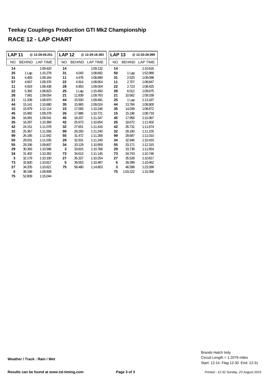| <b>LAP 11</b> |               | @12:28:09.251 | <b>LAP 12</b> |               | @12:29:18.383   | <b>LAP 13</b> |               | @12:30:28.999   |
|---------------|---------------|---------------|---------------|---------------|-----------------|---------------|---------------|-----------------|
| <b>NO</b>     | <b>BEHIND</b> | LAP TIME      | NO.           | <b>BEHIND</b> | <b>LAP TIME</b> | <b>NO</b>     | <b>BEHIND</b> | <b>LAP TIME</b> |
| 14            |               | 1:09.420      | 14            |               | 1:09.132        | 14            |               | 1:10.616        |
| 25            | 1 Lap         | 1:15.278      | 31            | 4.043         | 1:08.692        | 50            | 1 Lap         | 1:52.989        |
| 31            | 4.483         | 1:09.164      | 11            | 4.476         | 1:08.689        | 31            | 2.525         | 1:09.098        |
| 57            | 4.847         | 1:09.376      | 22            | 4.914         | 1:08.654        | 11            | 2.707         | 1:08.847        |
| 11            | 4.919         | 1:08.438      | 28            | 6.953         | 1:09.004        | 22            | 2.723         | 1:08.425        |
| 22            | 5.392         | 1:08.823      | 25            | 1 Lap         | 1:15.450        | 28            | 6.012         | 1:09.675        |
| 28            | 7.081         | 1:09.054      | 21            | 11.839        | 1:09.763        | 21            | 10.562        | 1:09.339        |
| 21            | 11.208        | 1:08.970      | 44            | 15.500        | 1:09.491        | 25            | 1 Lap         | 1:13.187        |
| 44            | 15.141        | 1:10.680      | 35            | 15.983        | 1:09.024        | 44            | 13.784        | 1:08.900        |
| 15            | 15.979        | 1:12.114      | 15            | 17.093        | 1:10.246        | 35            | 14.039        | 1:08.672        |
| 45            | 15.992        | 1:09.378      | 26            | 17.886        | 1:10.721        | 15            | 15.196        | 1:08.719        |
| 35            | 16.091        | 1:09.541      | 45            | 18.207        | 1:11.347        | 45            | 17.958        | 1:10.367        |
| 26            | 16.297        | 1:10.368      | 42            | 25.673        | 1:10.654        | 26            | 18.672        | 1:11.402        |
| 42            | 24.151        | 1:11.078      | 32            | 27.651        | 1:11.416        | 42            | 26.731        | 1:11.674        |
| 32            | 25.367        | 1:11.556      | 99            | 28.293        | 1:11.240        | 32            | 28.190        | 1:11.155        |
| 99            | 26.185        | 1:11.642      | 55            | 31.472        | 1:11.268        | 99            | 28.687        | 1:11.010        |
| 50            | 29.031        | 1:11.035      | 29            | 32.501        | 1:11.240        | 34            | 32.946        | 1:10.433        |
| 55            | 29.336        | 1:09.807      | 34            | 33.129        | 1:10.859        | 55            | 33.171        | 1:12.315        |
| 29            | 30.393        | 1:10.596      | 3             | 33.815        | 1:10.768        | 29            | 33.739        | 1:11.854        |
| 34            | 31.402        | 1:10.262      | 73            | 34.613        | 1:11.145        | 73            | 34.743        | 1:10.746        |
| 3             | 32.179        | 1:10.100      | 27            | 35.327        | 1:10.254        | 27            | 35.528        | 1:10.817        |
| 73            | 32.600        | 1:10.817      | 5             | 39.553        | 1:10.487        | 5             | 39.399        | 1:10.462        |
| 27            | 34.205        | 1:10.621      | 75            | 58.480        | 1:14.803        | 3             | 46.598        | 1:23.399        |
| 5             | 38.198        | 1:09.909      |               |               |                 | 75            | 1:03.222      | 1:15.358        |
| 75            | 52.809        | 1:15.044      |               |               |                 |               |               |                 |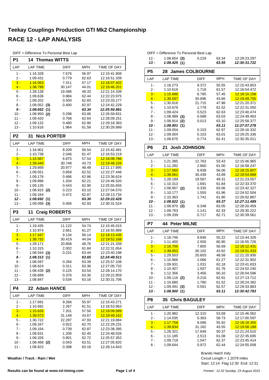| பா             | $=$ Difference TO Fersonial Dest Lap |                 |                |                                     |
|----------------|--------------------------------------|-----------------|----------------|-------------------------------------|
| P1             | 14<br><b>Thomas WITTS</b>            |                 |                |                                     |
| LAP            | <b>LAP TIME</b>                      | <b>DIFF</b>     | <b>MPH</b>     | TIME OF DAY                         |
| 1 -            | 1:16.328                             | 7.676           | 56.97          | 12:15:41.908                        |
| 2 -            | 1:09.431                             | 0.779           | 62.63          | 12:16:51.339                        |
| $3 -$<br>$4 -$ | 1:16.063<br>1:38.799                 | 7.411<br>30.147 | 57.17          | 12:18:07.402<br>12:19:46.201        |
| 5 -            | 1:28.138                             | 19.486          | 44.01<br>49.33 | 12:21:14.339                        |
| 6 -            | 1:09.636                             | 0.984           | 62.44          | 12:22:23.975                        |
| 7 -            | 1:09.202                             | 0.550           | 62.83          | 12:23:33.177                        |
| 8 -            | 1:09.052<br>(3)                      | 0.400           | 62.97          | 12:24:42.229                        |
| $9 -$          | 1:08.652<br>(1)                      |                 | 63.34          | 12:25:50.881                        |
| $10 -$         | 1:08.950<br>(2)                      | 0.298           | 63.06          | 12:26:59.831                        |
| $11 -$         | 1:09.420                             | 0.768           | 62.64          | 12:28:09.251                        |
| $12 -$         | 1:09.132                             | 0.480           | 62.90          | 12:29:18.383                        |
| $13 -$         | 1:10.616                             | 1.964           | 61.58          | 12:30:28.999                        |
| P <sub>2</sub> | <b>Nick PORTER</b><br>31             |                 |                |                                     |
| LAP            | <b>LAP TIME</b>                      | <b>DIFF</b>     | <b>MPH</b>     | TIME OF DAY                         |
| 1 -            | 1:16.901                             | 8.209           | 56.54          | 12:15:42.481                        |
| 2 -            | 1:10.738                             | 2.046           | 61.47          | 12:16:53.219                        |
| $3 -$<br>$4 -$ | 1:15.567<br>1:39.440                 | 6.875<br>30.748 | 57.54<br>43.73 | 12:18:08.786<br>12:19:48.226        |
| 5 -            | 1:29.669                             | 20.977          | 48.49          | 12:21:17.895                        |
| $6 -$          | 1:09.551                             | 0.859           | 62.52          | 12:22:27.446                        |
| 7 -            | 1:09.178                             | 0.486           | 62.86          | 12:23:36.624                        |
| 8 -            | 1:09.896                             | 1.204           | 62.21          | 12:24:46.520                        |
| 9 -            | 1:09.135                             | 0.443           | 62.90          | 12:25:55.655                        |
| $10 -$         | 1:08.915<br>(2)                      | 0.223           | 63.10          | 12:27:04.570                        |
| 11 -           | 1:09.164                             | 0.472           | 62.87          | 12:28:13.734                        |
| 12 -           | 1:08.692<br>(1)                      |                 | 63.30          | 12:29:22.426                        |
| $13 -$         | $1:09.098$ (3)                       | 0.406           | 62.93          | 12:30:31.524                        |
| P <sub>3</sub> | 11<br><b>Craig ROBERTS</b>           |                 |                |                                     |
| LAP            | <b>LAP TIME</b>                      | DIFF            | <b>MPH</b>     | TIME OF DAY                         |
| 1 -            | 1:19.435                             | 11.122          | 54.74          | 12:15:45.015                        |
| $2 -$          | 1:10.974                             | 2.661           | 61.27          | 12:16:55.989                        |
| $3 -$<br>$4 -$ | 1:17.447<br><u>1:38.732</u>          | 9.134<br>30.419 | 56.14<br>44.04 | 12:18:13.436<br>12:19:52.168        |
| 5 -            | 1:29.171                             | 20.858          | 48.76          | 12:21:21.339                        |
| 6 -            | 1:10.315                             | 2.002           | 61.84          | 12:22:31.654                        |
| 7 -            | 1:08.544<br>(3)                      | 0.231           | 63.44          | 12:23:40.198                        |
| 8 -            | 1:08.313 (1)                         |                 | 63.65          | 12:24:48.511                        |
| 9 -            | 1:08.597                             | 0.284           | 63.39          | 12:25:57.108                        |
| $10 -$         | 1:08.624                             | 0.311           | 63.36          | 12:27:05.732                        |
| $11 -$         | 1:08.438 (2)                         | 0.125           | 63.54          | 12:28:14.170                        |
| $12 -$         | 1:08.689                             | 0.376           | 63.30          | 12:29:22.859                        |
| $13 -$         | 1:08.847                             | 0.534           | 63.16          | 12:30:31.706                        |
| P4             | 22 Adam HANCE                        |                 |                |                                     |
| LAP            | <b>LAP TIME</b>                      | <b>DIFF</b>     | MPH            | TIME OF DAY                         |
| 1 -            | 1:17.691                             | 9.266           | 55.97          | 12:15:43.271                        |
| 2 -<br>$3 -$   | 1:10.692<br>1:15.626                 | 2.267<br>7.201  | 61.51<br>57.50 | 12:16:53.963<br><u>12:18:09.589</u> |
| $4 -$          | 1:39.573                             | 31.148          | 43.67          | <u>12:19:49.162</u>                 |
| 5 -            | 1:30.722                             | 22.297          | 47.93          | 12:21:19.884                        |
| 6 -            | 1:09.347                             | 0.922           | 62.70          | 12:22:29.231                        |
| 7 -            | 1:09.164                             | 0.739           | 62.87          | 12:23:38.395                        |
| $8 -$          | 1:09.631                             | 1.206           | 62.45          | 12:24:48.026                        |
| 9 -            | 1:09.326                             | 0.901           | 62.72          | 12:25:57.352                        |
| $10 -$         | $1:08.468$ (2)                       | 0.043           | 63.51          | 12:27:05.820                        |
| $11 -$         | 1:08.823                             | 0.398           | 63.18          | 12:28:14.643                        |

**Weather / Track : Rain / Wet**

| DIFF = Difference To Personal Best Lap |  |
|----------------------------------------|--|
|----------------------------------------|--|

| DIFF = Difference To Personal Best Lap |                |       |       |              |  |  |  |  |  |  |  |  |
|----------------------------------------|----------------|-------|-------|--------------|--|--|--|--|--|--|--|--|
| - 12 -                                 | $1:08.654$ (3) | 0.229 | 63.34 | 12:29:23.297 |  |  |  |  |  |  |  |  |
| - 13                                   | 1:08.425(1)    |       | 63.55 | 12:30:31.722 |  |  |  |  |  |  |  |  |

|                | יי י                       |                  |                |                              |
|----------------|----------------------------|------------------|----------------|------------------------------|
| P <sub>5</sub> | 28 James COLBOURNE         |                  |                |                              |
| LAP            | <b>LAP TIME</b>            | <b>DIFF</b>      | <b>MPH</b>     | TIME OF DAY                  |
| $1 -$          | 1:18.273                   | 9.372            | 55.55          | 12:15:43.853                 |
| $2 -$          | 1:10.619                   | 1.718            | 61.57          | 12:16:54.472                 |
| $3 -$          | 1:15.686                   | 6.785            | 57.45          | 12:18:10.158                 |
| $4 -$          | 1:39.597                   | 30.696           | 43.66          | 12:19:49.755                 |
| 5 -            | 1:30.616                   | 21.715           | 47.98          | 12:21:20.371                 |
| 6 -            | 1:10.679                   | 1.778            | 61.52          | 12:22:31.050                 |
| 7 -            | 1:09.424                   | 0.523            | 62.63          | 12:23:40.474                 |
| 8 -            | 1:08.989<br>(3)            | 0.088            | 63.03          | 12:24:49.463                 |
| 9 -            | 1:08.914<br>(2)            | 0.013            | 63.10          | 12:25:58.377                 |
| 10 -           | 1:08.901(1)                |                  | 63.11          | 12:27:07.278                 |
| 11 -           | 1:09.054                   | 0.153            | 62.97          | 12:28:16.332                 |
| $12 -$         | 1:09.004                   | 0.103            | 63.01          | 12:29:25.336                 |
| $13 -$         | 1:09.675                   | 0.774            | 62.41          | 12:30:35.011                 |
| P6             | <b>Josh JOHNSON</b><br>21  |                  |                |                              |
| LAP            | <b>LAP TIME</b>            | <b>DIFF</b>      | <b>MPH</b>     | TIME OF DAY                  |
| 1 -            | 1:21.385                   | 12.763           | 53.43          | 12:15:46.965                 |
| 2 -            | 1:11.282                   | 2.660            | 61.00          | 12:16:58.247                 |
| $3 -$          | 1:17.560                   | 8.938            | 56.06          | 12:18:15.807                 |
| $4 -$<br>5 -   | 1:39.061<br>1:28.189       | 30.439<br>19.567 | 43.89<br>49.31 | 12:19:54.868<br>12:21:23.057 |
| $6 -$          |                            |                  |                |                              |
| $7 -$          | 1:10.313<br>$1:08.957$ (2) | 1.691<br>0.335   | 61.84<br>63.06 | 12:22:33.370<br>12:23:42.327 |
| 8 -            | 1:10.177                   | 1.555            | 61.96          | 12:24:52.504                 |
| 9 -            | 1:10.363                   | 1.741            | 61.80          | 12:26:02.867                 |
| 10 -           | 1:08.622(1)                |                  | 63.37          | 12:27:11.489                 |
| 11 -           | $1:08.970$ (3)             | 0.348            | 63.05          | 12:28:20.459                 |
| 12 -           | 1:09.763                   | 1.141            | 62.33          | 12:29:30.222                 |
| $13 -$         | 1:09.339                   | 0.717            | 62.71          | 12:30:39.561                 |
| P7             | <b>Peter MILNE</b><br>44   |                  |                |                              |
| LAP            | <b>LAP TIME</b>            | <b>DIFF</b>      | <b>MPH</b>     | TIME OF DAY                  |
| $1 -$          | 1:18.746                   | 9.846            | 55.22          | 12:15:44.326                 |
| 2 -            | 1:11.400                   | 2.500            | 60.90          | 12:16:55.726                 |
| $3 -$          | 1:16.705                   | 7.805            | 56.69          | 12:18:12.431                 |
| $4 -$          | 1:39.002                   | 30.102           | 43.92          | 12:19:51.433                 |
| 5 -            | 1:29.503                   | 20.603           | 48.58          | 12:21:20.936                 |
| 6 -            | 1:10.966                   | 2.066            | 61.27          | 12:22:31.902                 |
| $7 -$          | 1:09.931                   | 1.031            | 62.18          | 12:23:41.833                 |
| $8 -$          | 1:10.407                   | 1.507            | 61.76          | 12:24:52.240                 |
| 9 -<br>10 -    | 1:12.356<br>$1:09.116$ (2) | 3.456<br>0.216   | 60.10<br>62.91 | 12:26:04.596<br>12:27:13.712 |
| 11 -           | 1:10.680                   | 1.780            | 61.52          | 12:28:24.392                 |
| 12 -           | 1:09.491<br>(3)            | 0.591            | 62.57          | 12:29:33.883                 |
| 13 -           | 1:08.900(1)                |                  | 63.11          | 12:30:42.783                 |
| P <sub>8</sub> | <b>Chris BAGULEY</b><br>35 |                  |                |                              |
| LAP            | <b>LAP TIME</b>            | DIFF             | MPH            | TIME OF DAY                  |
| $1 -$          | 1:20.982                   | 12.310           | 53.69          | 12:15:46.562                 |
| 2 -            | 1:14.035                   | 5.363            | 58.73          | 12:17:00.597                 |
| $3 -$          | <u>1:17.758</u>            | 9.086            | 55.92          | 12:18:18.355                 |
|                |                            | 31.162           | 43.55          | 12:19:58.189                 |
| $4 -$          | 1:39.834                   |                  |                |                              |

Circuit Length = 1.2079 miles Brands Hatch Indy

6 - 1:11.185 2.513 12:22:35.695 61.08 7 - 1:09.719 1.047 62.37 12:23:45.414<br>8 - 1:09.644 0.972 62.44 12:24:55.058

Start: 12:14 Flag 12:30 End: 12:31

12:24:55.058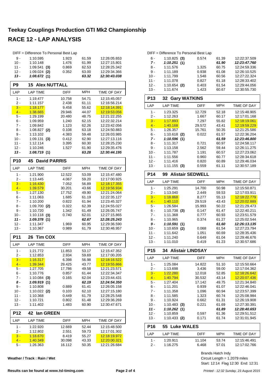|                | DIFF = Difference To Personal Best Lap |                 |                |                                            |
|----------------|----------------------------------------|-----------------|----------------|--------------------------------------------|
| 9 -            | 1:10.595                               | 1.923           | 61.59          | 12:26:05.653                               |
| $10 -$         | 1:10.148                               | 1.476           | 61.99          | 12:27:15.801                               |
| $11 -$         | 1:09.541<br>(3)                        | 0.869           | 62.53          | 12:28:25.342                               |
| $12 -$         | $1:09.024$ (2)                         | 0.352           | 63.00          | 12:29:34.366                               |
| $13 -$         | 1:08.672(1)                            |                 | 63.32          | 12:30:43.038                               |
| P <sub>9</sub> | <b>Alex NUTTALL</b><br>15              |                 |                |                                            |
| LAP            | <b>LAP TIME</b>                        | DIFF            | MPH            | TIME OF DAY                                |
| $1 -$          | 1:19.477                               | 10.758          | 54.71          | 12:15:45.057                               |
| $2 -$          | 1:11.157                               | 2.438           | 61.11          | 12:16:56.214                               |
| $3 -$<br>$4 -$ | 1:18.177<br>1:38.665                   | 9.458<br>29.946 | 55.62<br>44.07 | <u>12:18:14.391</u><br>12:19:53.056        |
| 5 -            | 1:29.199                               | 20.480          | 48.75          | 12:21:22.255                               |
| 6 -            | 1:09.959                               | 1.240           | 62.15          | 12:22:32.214                               |
| $7 -$          | 1:09.842                               | 1.123           | 62.26          | 12:23:42.056                               |
| 8 -            | $1:08.827$ (2)                         | 0.108           | 63.18          | 12:24:50.883                               |
| 9 -            | 1:13.102                               | 4.383           | 59.48          | 12:26:03.985                               |
| $10 -$         | 1:09.131<br>(3)                        | 0.412           | 62.90          | 12:27:13.116                               |
| 11 -<br>$12 -$ | 1:12.114<br>1:10.246                   | 3.395<br>1.527  | 60.30<br>61.90 | 12:28:25.230<br>12:29:35.476               |
| 13 -           | 1:08.719(1)                            |                 | 63.28          | 12:30:44.195                               |
| <b>P10</b>     | <b>David PARRIS</b><br>45              |                 |                |                                            |
| LAP            | <b>LAP TIME</b>                        | <b>DIFF</b>     | <b>MPH</b>     | TIME OF DAY                                |
| $1 -$          | 1:21.900                               | 12.522          | 53.09          | 12:15:47.480                               |
| 2 -            | 1:13.445                               | 4.067           | 59.20          | 12:17:00.925                               |
| $3 -$          | 1:16.430                               | 7.052           | 56.89          | 12:18:17.355                               |
| $4 -$          | 1:39.579                               | 30.201          | 43.66          | 12:19:56.934                               |
| 5 -            | 1:27.130                               | 17.752          | 49.90          | 12:21:24.064                               |
| 6 -<br>7 -     | 1:11.063<br>1:10.200                   | 1.685<br>0.822  | 61.19<br>61.94 | 12:22:35.127<br>12:23:45.327               |
| 8 -            | 1:09.700<br>(2)                        | 0.322           | 62.39          | 12:24:55.027                               |
| 9 -            | 1:10.720                               | 1.342           | 61.49          | 12:26:05.747                               |
| 10 -           | $1:10.118$ (3)                         | 0.740           | 62.01          | 12:27:15.865                               |
| $11 -$         | 1:09.378(1)                            |                 | 62.67          | 12:28:25.243                               |
| 12 -           | 1:11.347<br>1:10.367                   | 1.969           | 60.95<br>61.79 | 12:29:36.590                               |
| 13 -           |                                        | 0.989           |                | 12:30:46.957                               |
| <b>P11</b>     | <b>Tim COX</b><br>26                   |                 |                |                                            |
| LAP            | <b>LAP TIME</b>                        | <b>DIFF</b>     | <b>MPH</b>     | TIME OF DAY                                |
| 1 -            | 1:21.772                               | 11.853          | 53.17          | 12:15:47.352                               |
| 2 -<br>$3 -$   | 1:12.853                               | 2.934           | 59.69          | 12:17:00.205                               |
| $4 -$          | <u>1:16.317</u><br>1:39.344            | 6.398<br>29.425 | 56.98<br>43.77 | <u>12:18:16.522</u><br><u>12:19:55.866</u> |
| 5 -            | 1:27.705                               | 17.786          | 49.58          | 12:21:23.571                               |
| 6 -            | 1:10.776                               | 0.857           | 61.44          | 12:22:34.347                               |
| 7 -            | $1:10.084$ (3)                         | 0.165           | 62.04          | 12:23:44.431                               |
| 8 -            | 1:09.919(1)                            |                 | 62.19          | 12:24:54.350                               |
| 9 -            | 1:10.808                               | 0.889           | 61.41          | 12:26:05.158                               |
| $10 -$<br>11 - | $1:10.022$ (2)<br>1:10.368             | 0.103<br>0.449  | 62.10<br>61.79 | 12:27:15.180<br>12:28:25.548               |
| $12 -$         | 1:10.721                               | 0.802           | 61.48          | 12:29:36.269                               |
| $13 -$         | 1:11.402                               | 1.483           | 60.90          | 12:30:47.671                               |
| <b>P12</b>     | 42<br>lan GREEN                        |                 |                |                                            |
| LAP            | <b>LAP TIME</b>                        | <b>DIFF</b>     | <b>MPH</b>     | TIME OF DAY                                |
| $1 -$          | 1:22.920                               | 12.669          | 52.44          | 12:15:48.500                               |
| 2 -            | 1:12.802                               | 2.551           | 59.73          | 12:17:01.302                               |
| $3 -$          | <u>1:18.670</u>                        | 8.419           | 55.27          | <u>12:18:19.972</u>                        |
| $4 -$          | 1:40.349                               | 30.098          | 43.33          | 12:20:00.321                               |
| 5 -            | 1:26.363                               | 16.112          | 50.35          | 12:21:26.684                               |

**Weather / Track : Rain / Wet**

|                  | DIFF = Difference To Personal Best Lap |                                |                |                              |  |  |  |  |  |
|------------------|----------------------------------------|--------------------------------|----------------|------------------------------|--|--|--|--|--|
| 6 -              | $1:10.825$ (3)                         | 0.574                          | 61.39          | 12:22:37.509                 |  |  |  |  |  |
| $7 -$            | 1:10.251(1)                            |                                | 61.90          | 12:23:47.760                 |  |  |  |  |  |
| 8 -              | 1:11.576                               | 1.325                          | 60.75          | 12:24:59.336                 |  |  |  |  |  |
| 9 -              | 1:11.189                               | 0.938                          | 61.08          | 12:26:10.525                 |  |  |  |  |  |
| $10 -$           | 1:11.799                               | 1.548                          | 60.56          | 12:27:22.324                 |  |  |  |  |  |
| 11 -             | 1:11.078                               | 0.827                          | 61.18          | 12:28:33.402                 |  |  |  |  |  |
| $12 -$           | 1:10.654 (2)                           | 61.54<br>12:29:44.056<br>0.403 |                |                              |  |  |  |  |  |
| $13 -$           | 1:11.674                               | 1.423                          | 60.67          | 12:30:55.730                 |  |  |  |  |  |
|                  |                                        |                                |                |                              |  |  |  |  |  |
| P <sub>13</sub>  | <b>Gary WATKINS</b><br>32              |                                |                |                              |  |  |  |  |  |
| LAP              | <b>LAP TIME</b>                        | <b>DIFF</b>                    | <b>MPH</b>     | TIME OF DAY                  |  |  |  |  |  |
| 1 -              | 1:23.325                               | 12.729                         | 52.18          | 12:15:48.905                 |  |  |  |  |  |
| 2 -              | 1:12.263                               | 1.667                          | 60.17          | 12:17:01.168                 |  |  |  |  |  |
| $3 -$            | 1:17.893                               | 7.297                          | 55.82          | 12:18:19.061                 |  |  |  |  |  |
| $4 -$            | 1:40.168                               | 29.572                         | 43.41          | 12:19:59.229                 |  |  |  |  |  |
| 5 -              | 1:26.357                               | 15.761                         | 50.35          | 12:21:25.586                 |  |  |  |  |  |
| 6 -              | $1:10.618$ (2)                         | 0.022                          | 61.57          | 12:22:36.204                 |  |  |  |  |  |
| $7 -$            | 1:10.596(1)                            |                                | 61.59          | 12:23:46.800                 |  |  |  |  |  |
| 8 -              | 1:11.317                               | 0.721                          | 60.97          | 12:24:58.117                 |  |  |  |  |  |
| 9 -              | 1:13.158                               | 2.562                          | 59.44          | 12:26:11.275                 |  |  |  |  |  |
| $10 -$           | 1:11.787                               | 1.191                          | 60.57          | 12:27:23.062                 |  |  |  |  |  |
| $11 -$           | 1:11.556                               | 0.960                          | 60.77          | 12:28:34.618                 |  |  |  |  |  |
| $12 -$           | 1:11.416                               | 0.820                          | 60.89          | 12:29:46.034                 |  |  |  |  |  |
| $13 -$           | $1:11.155$ (3)                         | 0.559                          | 61.11          | 12:30:57.189                 |  |  |  |  |  |
|                  |                                        |                                |                |                              |  |  |  |  |  |
| P <sub>14</sub>  | <b>Alistair SEDWELL</b><br>99          |                                |                |                              |  |  |  |  |  |
| LAP              | <b>LAP TIME</b>                        | <b>DIFF</b>                    | <b>MPH</b>     | TIME OF DAY                  |  |  |  |  |  |
| 1 -              | 1:25.291                               | 14.700                         | 50.98          | 12:15:50.871                 |  |  |  |  |  |
| 2 -              | 1:13.040                               | 2.449                          | 59.53          | 12:17:03.911                 |  |  |  |  |  |
| $3 -$            | 1:18.868                               | 8.277                          | 55.13          | 12:18:22.779                 |  |  |  |  |  |
| $4 -$            | <u>1:40.110</u>                        | 29.519                         | 43.43          | 12:20:02.889                 |  |  |  |  |  |
| 5 -              | 1:26.584                               | 15.993                         | 50.22          | 12:21:29.473                 |  |  |  |  |  |
| 6 -              | $1:10.738$ (3)                         | 0.147                          | 61.47          | 12:22:40.211                 |  |  |  |  |  |
| 7 -              | 1:11.368                               | 0.777                          | 60.93          | 12:23:51.579                 |  |  |  |  |  |
| 8 -              | 1:10.965                               | 0.374                          | 61.27          | 12:25:02.544                 |  |  |  |  |  |
| 9 -              | 1:10.591(1)                            |                                | 61.60          | 12:26:13.135                 |  |  |  |  |  |
| $10 -$           | 1:10.659<br>(2)                        | 0.068                          | 61.54          | 12:27:23.794                 |  |  |  |  |  |
| 11 -             | 1:11.642                               | 1.051                          | 60.69          | 12:28:35.436<br>12:29:46.676 |  |  |  |  |  |
| $12 -$<br>$13 -$ | 1:11.240<br>1:11.010                   | 0.649<br>0.419                 | 61.04<br>61.23 | 12:30:57.686                 |  |  |  |  |  |
|                  |                                        |                                |                |                              |  |  |  |  |  |
| P <sub>15</sub>  | <b>34 Alistair LINDSAY</b>             |                                |                |                              |  |  |  |  |  |
| LAP              | LAP TIME                               | <b>DIFF</b>                    | MPH            | TIME OF DAY                  |  |  |  |  |  |
| 1 -              | 1:25.084                               | 14.822                         | 51.10          | 12:15:50.664                 |  |  |  |  |  |
| 2 -              | 1:13.698                               | 3.436                          | 59.00          | 12:17:04.362                 |  |  |  |  |  |
| $3 -$            | 1:22.280                               | 12.018                         | 52.85          | 12:18:26.642                 |  |  |  |  |  |
| $4 -$            | <u>1:40.794</u>                        | 30.532                         | 43.14          | <u>12:20:07.436</u>          |  |  |  |  |  |
| $5 -$            | 1:27.404                               | 17.142                         | 49.75          | 12:21:34.840                 |  |  |  |  |  |
| $6 -$            | 1:11.201                               | 0.939                          | 61.07          | 12:22:46.041                 |  |  |  |  |  |
| 7 -              | 1:11.358                               | 1.096                          | 60.94          | 12:23:57.399                 |  |  |  |  |  |
| 8 -              | 1:11.585                               | 1.323                          | 60.74          | 12:25:08.984                 |  |  |  |  |  |
| 9 -              | 1:10.924                               | 0.662                          | 61.31          | 12:26:19.908                 |  |  |  |  |  |
| $10 -$           | $1:10.483$ (3)                         | 0.221                          | 61.69          | 12:27:30.391                 |  |  |  |  |  |
| 11 -             | 1:10.262(1)                            |                                | 61.89          | 12:28:40.653                 |  |  |  |  |  |
| 12 -             | 1:10.859                               | 0.597                          | 61.36          | 12:29:51.512                 |  |  |  |  |  |
| $13 -$           | $1:10.433$ (2)                         | 0.171                          | 61.74          | 12:31:01.945                 |  |  |  |  |  |
| P <sub>16</sub>  | 55<br><b>Luke WALES</b>                |                                |                |                              |  |  |  |  |  |
| LAP              | <b>LAP TIME</b>                        | DIFF                           | MPH            | TIME OF DAY                  |  |  |  |  |  |
|                  |                                        |                                |                |                              |  |  |  |  |  |
| 1 -              | 1:20.911                               | 11.104                         | 53.74          | 12:15:46.491                 |  |  |  |  |  |
| 2 -              | 1:16.275                               | 6.468                          | 57.01          | 12:17:02.766                 |  |  |  |  |  |

Start: 12:14 Flag 12:30 End: 12:31 Circuit Length = 1.2079 miles Brands Hatch Indy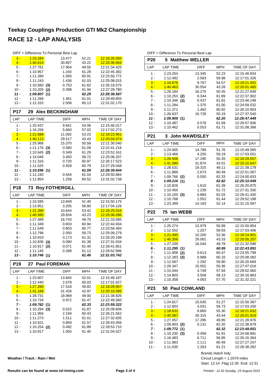|            | DIFF = Difference To Personal Best Lap |             |            |                     |  |  |  |  |  |  |  |  |  |
|------------|----------------------------------------|-------------|------------|---------------------|--|--|--|--|--|--|--|--|--|
| $3 -$      | 1:23.284                               | 13.477      | 52.21      | <u>12:18:26.050</u> |  |  |  |  |  |  |  |  |  |
| $4 -$      | 1:40.614                               | 30.807      | 43.22      | 12:20:06.664        |  |  |  |  |  |  |  |  |  |
| 5 -        | 1:27.761                               | 17.954      | 49.55      | 12:21:34.425        |  |  |  |  |  |  |  |  |  |
| 6 -        | 1:10.957                               | 1.150       | 61.28      | 12:22:45.382        |  |  |  |  |  |  |  |  |  |
| $7 -$      | 1:11.390                               | 1.583       | 60.91      | 12:23:56.772        |  |  |  |  |  |  |  |  |  |
| 8 -        | 1:11.243                               | 1.436       | 61.03      | 12:25:08.015        |  |  |  |  |  |  |  |  |  |
| 9 -        | 1:10.560<br>(3)                        | 0.753       | 61.62      | 12:26:18.575        |  |  |  |  |  |  |  |  |  |
| $10 -$     | 1:10.205<br>(2)                        | 0.398       | 61.94      | 12:27:28.780        |  |  |  |  |  |  |  |  |  |
| $11 -$     | 1:09.807(1)                            |             | 62.29      | 12:28:38.587        |  |  |  |  |  |  |  |  |  |
| $12 -$     | 1:11.268                               | 1.461       | 61.01      | 12:29:49.855        |  |  |  |  |  |  |  |  |  |
| $13 -$     | 1:12.315                               | 2.508       | 60.13      | 12:31:02.170        |  |  |  |  |  |  |  |  |  |
| <b>P17</b> | <b>29 Alex BECKINGHAM</b>              |             |            |                     |  |  |  |  |  |  |  |  |  |
| LAP        | <b>LAP TIME</b>                        | <b>DIFF</b> | <b>MPH</b> | TIME OF DAY         |  |  |  |  |  |  |  |  |  |
| 1 -        | 1:20.437                               | 9.841       | 54.06      | 12:15:46.017        |  |  |  |  |  |  |  |  |  |
| 2 -        | 1:16.256                               | 5.660       | 57.02      | 12:17:02.273        |  |  |  |  |  |  |  |  |  |
| $3 -$      | 1:21.688                               | 11.092      | 53.23      | 12:18:23.961        |  |  |  |  |  |  |  |  |  |
| $4 -$      | 1:40.113                               | 29.517      | 43.43      | 12:20:04.074        |  |  |  |  |  |  |  |  |  |
| 5 -        | 1:25.966                               | 15.370      | 50.58      | 12:21:30.040        |  |  |  |  |  |  |  |  |  |
| 6 -        | 1:11.176<br>(3)                        | 0.580       | 61.09      | 12:22:41.216        |  |  |  |  |  |  |  |  |  |
| 7 -        | 1:10.945<br>(2)                        | 0.349       | 61.29      | 12:23:52.161        |  |  |  |  |  |  |  |  |  |
| 8 -        | 1:14.046                               | 3.450       | 58.72      | 12:25:06.207        |  |  |  |  |  |  |  |  |  |
| 9 -        | 1:11.316                               | 0.720       | 60.97      | 12:26:17.523        |  |  |  |  |  |  |  |  |  |
| $10 -$     | 1:11.525                               | 0.929       | 60.79      | 12:27:29.048        |  |  |  |  |  |  |  |  |  |
| $11 -$     | 1:10.596(1)                            |             | 61.59      | 12:28:39.644        |  |  |  |  |  |  |  |  |  |
| $12 -$     | 1:11.240                               | 0.644       | 61.04      | 12:29:50.884        |  |  |  |  |  |  |  |  |  |
| $13 -$     | 1:11.854                               | 1.258       | 60.52      | 12:31:02.738        |  |  |  |  |  |  |  |  |  |
|            |                                        |             |            |                     |  |  |  |  |  |  |  |  |  |
| <b>P18</b> | 73<br><b>Roy FOTHERGILL</b>            |             |            |                     |  |  |  |  |  |  |  |  |  |
| LAP        | <b>LAP TIME</b>                        | <b>DIFF</b> | <b>MPH</b> | TIME OF DAY         |  |  |  |  |  |  |  |  |  |
| $1 -$      | 1:24.595                               | 13.849      | 51.40      | 12:15:50.175        |  |  |  |  |  |  |  |  |  |
| 2 -        | 1:13.951                               | 3.205       | 58.80      | 12:17:04.126        |  |  |  |  |  |  |  |  |  |
| $3 -$      | 1:21.390                               | 10.644      | 53.42      | 12:18:25.516        |  |  |  |  |  |  |  |  |  |
| $4 -$      | 1:40.580                               | 29.834      | 43.23      | 12:20:06.096        |  |  |  |  |  |  |  |  |  |
| 5 -        | 1:27.489                               | 16.743      | 49.70      | 12:21:33.585        |  |  |  |  |  |  |  |  |  |
| 6 -        | 1:11.349                               | 0.603       | 60.94      | 12:22:44.934        |  |  |  |  |  |  |  |  |  |
| 7 -        | 1:11.549                               | 0.803       | 60.77      | 12:23:56.483        |  |  |  |  |  |  |  |  |  |
| 8 -        | 1:12.796                               | 2.050       | 59.73      | 12:25:09.279        |  |  |  |  |  |  |  |  |  |
| 9 -        | 1:10.919                               | 0.173       | 61.31      | 12:26:20.198        |  |  |  |  |  |  |  |  |  |
| $10 -$     | 1:10.836<br>(3)                        | 0.090       | 61.38      | 12:27:31.034        |  |  |  |  |  |  |  |  |  |
| $11 -$     | 1:10.817<br>(2)                        | 0.071       | 61.40      | 12:28:41.851        |  |  |  |  |  |  |  |  |  |
| $12 -$     | 1:11.145                               | 0.399       | 61.12      | 12:29:52.996        |  |  |  |  |  |  |  |  |  |
| 13 -       | 1:10.746(1)                            |             | 61.46      | 12:31:03.742        |  |  |  |  |  |  |  |  |  |
| P19        | 27<br><b>Paul FOREMAN</b>              |             |            |                     |  |  |  |  |  |  |  |  |  |
| LAP        | <b>LAP TIME</b>                        | DIFF        | MPH        | TIME OF DAY         |  |  |  |  |  |  |  |  |  |
| $1 -$      | 1:23.607                               | 13.845      | 52.01      | 12:15:49.187        |  |  |  |  |  |  |  |  |  |
| 2 -        | 1:12.440                               | 2.678       | 60.03      | 12:17:01.627        |  |  |  |  |  |  |  |  |  |
| $3 -$      | 1:27.280                               | 17.518      | 49.82      | 12:18:28.907        |  |  |  |  |  |  |  |  |  |
| $4 -$      | <u>1:41.188</u>                        | 31.426      | 42.97      | 12:20:10.095        |  |  |  |  |  |  |  |  |  |
| 5 -        | 1:28.731                               | 18.969      | 49.00      | 12:21:38.826        |  |  |  |  |  |  |  |  |  |
| $6 -$      | 1:10.734                               | 0.972       | 61.47      | 12:22:49.560        |  |  |  |  |  |  |  |  |  |
| 7 -        | 1:09.762(1)                            |             | 62.33      | 12:23:59.322        |  |  |  |  |  |  |  |  |  |
| 8 -        | 1:10.284<br>(3)                        | 0.522       | 61.87      | 12:25:09.606        |  |  |  |  |  |  |  |  |  |
| 9 -        | 1:11.956                               | 2.194       | 60.43      | 12:26:21.562        |  |  |  |  |  |  |  |  |  |
| 10 -       | 1:11.273                               | 1.511       | 61.01      | 12:27:32.835        |  |  |  |  |  |  |  |  |  |
| $11 -$     | 1:10.621                               | 0.859       | 61.57      | 12:28:43.456        |  |  |  |  |  |  |  |  |  |
|            |                                        |             |            |                     |  |  |  |  |  |  |  |  |  |
| $12 -$     | $1:10.254$ (2)                         | 0.492       | 61.89      | 12:29:53.710        |  |  |  |  |  |  |  |  |  |
| $13 -$     | 1:10.817                               | 1.055       | 61.40      | 12:31:04.527        |  |  |  |  |  |  |  |  |  |

DIFF = Difference To Personal Best Lap **P20 5 Matthew WELLER**

| LAP             | <b>LAP TIME</b>            | DIFF                 | <b>MPH</b>     | TIME OF DAY                  |  |  |  |  |  |
|-----------------|----------------------------|----------------------|----------------|------------------------------|--|--|--|--|--|
| 1 -             | 1:23.254                   | 13.345               | 52.23          | 12:15:48.834                 |  |  |  |  |  |
| $2-$            | 1:12.492                   | 2.583                | 59.98          | 12:17:01.326                 |  |  |  |  |  |
| $3 -$           | 1:19.676                   | 9.767                | 54.57          | 12:18:21.002                 |  |  |  |  |  |
| $4 -$           | 1:40.463                   | 30.554               | 43.28          | 12:20:01.465                 |  |  |  |  |  |
| 5 -             | 1:26.184                   | 16.275               | 50.45          | 12:21:27.649                 |  |  |  |  |  |
| 6 -             | $1:10.253$ (2)             | 0.344                | 61.89          | 12:22:37.902                 |  |  |  |  |  |
| $7 -$           | 1:10.346<br>(3)            | 0.437                | 61.81          | 12:23:48.248                 |  |  |  |  |  |
| 8 -             | 1:11.284                   | 1.375                | 61.00          | 12:24:59.532                 |  |  |  |  |  |
| 9 -<br>$10 -$   | 1:11.371                   | 1.462<br>16.728      | 60.92          | 12:26:10.903<br>12:27:37.540 |  |  |  |  |  |
| $11 -$          | 1:26.637<br>1:09.909(1)    |                      | 50.19<br>62.20 | 12:28:47.449                 |  |  |  |  |  |
| 12 -            | 1:10.487                   | 0.578                | 61.69          | 12:29:57.936                 |  |  |  |  |  |
| $13 -$          | 1:10.462                   | 0.553                | 61.71          | 12:31:08.398                 |  |  |  |  |  |
| P21             | 3                          | <b>John MAWDSLEY</b> |                |                              |  |  |  |  |  |
|                 |                            |                      |                |                              |  |  |  |  |  |
| LAP             | <b>LAP TIME</b>            | DIFF                 | <b>MPH</b>     | TIME OF DAY                  |  |  |  |  |  |
| 1 -             | 1:24.005                   | 14.789               | 51.76          | 12:15:49.585                 |  |  |  |  |  |
| 2 -<br>$3 -$    | 1:13.466<br>1:26.506       | 4.250<br>17.290      | 59.19<br>50.26 | 12:17:03.051<br>12:18:29.557 |  |  |  |  |  |
| $4 -$           | 1:41.090                   | 31.874               | 43.01          | 12:20:10.647                 |  |  |  |  |  |
| 5 -             | 1:28.531                   | 19.315               | 49.11          | 12:21:39.178                 |  |  |  |  |  |
| 6 -             | 1:11.889                   | 2.673                | 60.49          | 12:22:51.067                 |  |  |  |  |  |
| 7 -             | 1:09.766<br>(2)            | 0.550                | 62.33          | 12:24:00.833                 |  |  |  |  |  |
| 8 -             | 1:09.216(1)                |                      | 62.82          | 12:25:10.049                 |  |  |  |  |  |
| 9 -             | 1:10.826                   | 1.610                | 61.39          | 12:26:20.875                 |  |  |  |  |  |
| $10 -$          | 1:10.455                   | 1.239                | 61.72          | 12:27:31.330                 |  |  |  |  |  |
| $11 -$          | $1:10.100$ (3)             | 0.884                | 62.03          | 12:28:41.430                 |  |  |  |  |  |
| $12 -$          | 1:10.768                   | 1.552                | 61.44          | 12:29:52.198                 |  |  |  |  |  |
| $13 -$          | 1:23.399                   | 14.183               | 52.14          | 12:31:15.597                 |  |  |  |  |  |
|                 |                            |                      |                |                              |  |  |  |  |  |
| <b>P22</b>      | 75<br>lan WEBB             |                      |                |                              |  |  |  |  |  |
| LAP             | <b>LAP TIME</b>            | <b>DIFF</b>          | MPH            | TIME OF DAY                  |  |  |  |  |  |
| 1 -             | 1:25.274                   | 13.979               | 50.99          | 12:15:50.854                 |  |  |  |  |  |
| 2 -             | 1:12.552                   | 1.257                | 59.93          | 12:17:03.406                 |  |  |  |  |  |
| $3 -$           | 1:21.495                   | 10.200               | 53.36          | 12:18:24.901                 |  |  |  |  |  |
| $4 -$           | 1:40.356                   | 29.061               | 43.33          | 12:20:05.257                 |  |  |  |  |  |
| 5 -             | 1:27.339                   | 16.044               | 49.78          | 12:21:32.596                 |  |  |  |  |  |
| 6 -             | 1:11.295(1)                |                      | 60.99          | 12:22:43.891                 |  |  |  |  |  |
| 7 -             | 1:11.908<br>(2)            | 0.613                | 60.47          | 12:23:55.799                 |  |  |  |  |  |
| 8 -<br>9 -      | $1:12.283$ (3)<br>1:12.587 | 0.988<br>1.292       | 60.16<br>59.90 | 12:25:08.082<br>12:26:20.669 |  |  |  |  |  |
| 10 -            | 1:26.347                   | 15.052               | 50.36          | 12:27:47.016                 |  |  |  |  |  |
| 11 -            | 1:15.044                   | 3.749                | 57.94          | 12:29:02.060                 |  |  |  |  |  |
| $12 -$          | 1:14.803                   | 3.508                | 58.13          | 12:30:16.863                 |  |  |  |  |  |
| $13 -$          | 1:15.358                   | 4.063                | 57.70          | 12:31:32.221                 |  |  |  |  |  |
| P <sub>23</sub> | 50 Paul COWLAND            |                      |                |                              |  |  |  |  |  |
| LAP             | <b>LAP TIME</b>            | DIFF                 | <b>MPH</b>     | TIME OF DAY                  |  |  |  |  |  |
| 1 -             | 1:24.817                   | 15.045               | 51.27          | 12:15:50.397                 |  |  |  |  |  |
| 2 -             | 1:12.803                   | 3.031                | 59.73          | 12:17:03.200                 |  |  |  |  |  |
| $3 -$           | 1:18.632                   | 8.860                | 55.30          | 12:18:21.832                 |  |  |  |  |  |
| $4 -$           | 1:40.087                   | 30.315               | 43.44          | 12:20:01.919                 |  |  |  |  |  |
| 5 -             | 1:27.057                   | 17.285               | 49.95          | 12:21:28.976                 |  |  |  |  |  |
| 6 -             | $1:09.903$ (2)             | 0.131                | 62.20          | 12:22:38.879                 |  |  |  |  |  |
| 7 -             | 1:09.772(1)                |                      | 62.32          | 12:23:48.651                 |  |  |  |  |  |
| 8 -<br>9 -      | 1:10.230(3)<br>1:16.483    | 0.458                | 61.91<br>56.85 | 12:24:58.881<br>12:26:15.364 |  |  |  |  |  |
| $10 -$          | 1:11.883                   | 6.711<br>2.111       | 60.49          | 12:27:27.247                 |  |  |  |  |  |
| $11 -$          | 1:11.035                   | 1.263                | 61.21          | 12:28:38.282                 |  |  |  |  |  |

Brands Hatch Indy

Start: 12:14 Flag 12:30 End: 12:31 Circuit Length = 1.2079 miles

**Weather / Track : Rain / Wet**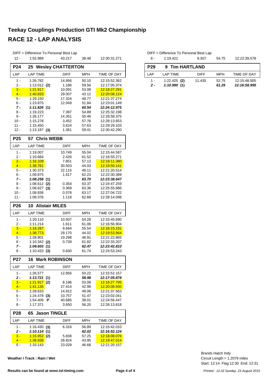|                                  | DIFF = Difference To Personal Best Lap |                          |                |                              |  |  |  |  |  |  |  |
|----------------------------------|----------------------------------------|--------------------------|----------------|------------------------------|--|--|--|--|--|--|--|
| $12 -$                           | 1:52.989                               | 43.217                   | 38.48          | 12:30:31.271                 |  |  |  |  |  |  |  |
| <b>P24</b>                       | 25                                     | <b>Wesley CHATTERTON</b> |                |                              |  |  |  |  |  |  |  |
| LAP                              | <b>LAP TIME</b>                        | <b>DIFF</b>              | <b>MPH</b>     | TIME OF DAY                  |  |  |  |  |  |  |  |
| $1 -$                            | 1:26.782                               | 14.956                   | 50.10          | 12:15:52.362                 |  |  |  |  |  |  |  |
| 2 -                              | $1:13.012$ (2)                         | 1.186                    | 59.56          | 12:17:05.374                 |  |  |  |  |  |  |  |
| $3 -$                            | 1:21.917                               | 10.091                   | 53.08          | 12:18:27.291                 |  |  |  |  |  |  |  |
| $4 -$                            | 1:40.833                               | 29.007                   | 43.12          | 12:20:08.124                 |  |  |  |  |  |  |  |
| 5 -                              | 1:29.150                               | 17.324                   | 48.77          | 12:21:37.274                 |  |  |  |  |  |  |  |
| 6 -                              | 1:23.875                               | 12.049                   | 51.84          | 12:23:01.149                 |  |  |  |  |  |  |  |
| 7 -                              | 1:11.826(1)                            |                          | 60.54          | 12:24:12.975                 |  |  |  |  |  |  |  |
| 8 -<br>9 -                       | 1:19.223<br>1:26.177                   | 7.397<br>14.351          | 54.89<br>50.46 | 12:25:32.198<br>12:26:58.375 |  |  |  |  |  |  |  |
| $10 -$                           | 1:15.278                               | 3.452                    | 57.76          | 12:28:13.653                 |  |  |  |  |  |  |  |
| 11 -                             | 1:15.450                               | 3.624                    | 57.63          | 12:29:29.103                 |  |  |  |  |  |  |  |
| $12 -$                           | $1:13.187$ (3)                         | 1.361                    | 59.41          | 12:30:42.290                 |  |  |  |  |  |  |  |
| P <sub>25</sub><br>57 Chris WEBB |                                        |                          |                |                              |  |  |  |  |  |  |  |
|                                  |                                        |                          |                |                              |  |  |  |  |  |  |  |
| LAP                              | <b>LAP TIME</b>                        | <b>DIFF</b>              | <b>MPH</b>     | TIME OF DAY                  |  |  |  |  |  |  |  |
| $1 -$                            | 1:19.007                               | 10.749                   | 55.04          | 12:15:44.587                 |  |  |  |  |  |  |  |
| 2 -                              | 1:10.684                               | 2.426                    | 61.52          | 12:16:55.271                 |  |  |  |  |  |  |  |
| $3 -$<br>$4 -$                   | 1:16.109<br><u>1:38.761</u>            | 7.851<br>30.503          | 57.13<br>44.03 | 12:18:11.380<br>12:19:50.141 |  |  |  |  |  |  |  |
| 5 -                              | 1:30.373                               | 22.115                   | 48.11          | 12:21:20.514                 |  |  |  |  |  |  |  |
| 6 -                              | 1:09.875                               | 1.617                    | 62.23          | 12:22:30.389                 |  |  |  |  |  |  |  |
| 7 -                              | 1:08.258(1)                            |                          | 63.70          | 12:23:38.647                 |  |  |  |  |  |  |  |
| 8 -                              | 1:08.612<br>(2)                        | 0.354                    | 63.37          | 12:24:47.259                 |  |  |  |  |  |  |  |
| 9 -                              | 1:08.627(3)                            | 0.369                    | 63.36          | 12:25:55.886                 |  |  |  |  |  |  |  |
| $10 -$                           | 1:08.836                               | 0.578                    | 63.17          | 12:27:04.722                 |  |  |  |  |  |  |  |
| 11 -                             | 1:09.376                               | 1.118                    | 62.68          | 12:28:14.098                 |  |  |  |  |  |  |  |
|                                  | <b>Alistair MILES</b><br>10            |                          |                |                              |  |  |  |  |  |  |  |
| <b>P26</b>                       |                                        |                          |                |                              |  |  |  |  |  |  |  |
| LAP                              | <b>LAP TIME</b>                        | DIFF                     | <b>MPH</b>     | TIME OF DAY                  |  |  |  |  |  |  |  |
| $1 -$                            | 1:20.110                               | 10.507                   | 54.28          | 12:15:45.690                 |  |  |  |  |  |  |  |
| 2 -                              | 1:11.214                               | 1.611                    | 61.06          | 12:16:56.904                 |  |  |  |  |  |  |  |
| $3 -$                            | 1:18.287                               | 8.684                    | 55.54          | 12:18:15.191                 |  |  |  |  |  |  |  |
| $4 -$                            | 1:38.773                               | 29.170                   | 44.02          | 12:19:53.964                 |  |  |  |  |  |  |  |
| 5 -                              | 1:28.901                               | 19.298                   | 48.91          | 12:21:22.865                 |  |  |  |  |  |  |  |
| 6 -                              | 1:10.342<br>(2)                        | 0.739                    | 61.82          | 12:22:33.207                 |  |  |  |  |  |  |  |
| 7 -                              | 1:09.603(1)                            |                          | 62.47          | 12:23:42.810                 |  |  |  |  |  |  |  |
| 8 -                              | $1:10.433$ (3)                         | 0.830                    | 61.74          | 12:24:53.243                 |  |  |  |  |  |  |  |
| P <sub>27</sub>                  | <b>Mark ROBINSON</b><br>16             |                          |                |                              |  |  |  |  |  |  |  |
| LAP                              | <b>LAP TIME</b>                        | DIFF                     | <b>MPH</b>     | TIME OF DAY                  |  |  |  |  |  |  |  |
| 1 -                              | 1:26.577                               | 12.856                   | 50.22          | 12:15:52.157                 |  |  |  |  |  |  |  |
| 2 -                              | 1:13.721<br>(1)                        |                          | 58.98          | 12:17:05.878                 |  |  |  |  |  |  |  |
| $3 -$                            | 1:21.917<br>(2)                        | 8.196                    | 53.08          | 12:18:27.795                 |  |  |  |  |  |  |  |
| $4 -$                            | <u>1:41.135</u>                        | 27.414                   | 42.99          | <u>12:20:08.930</u>          |  |  |  |  |  |  |  |
| 5 -                              | 1:28.633                               | 14.912                   | 49.06          | 12:21:37.563                 |  |  |  |  |  |  |  |
| 6 -<br>7 -                       | 1:24.478<br>(3)<br>1:54.406<br>P       | 10.757<br>40.685         | 51.47<br>38.01 | 12:23:02.041<br>12:24:56.447 |  |  |  |  |  |  |  |
| 8 -                              | 1:17.371                               | 3.650                    | 56.20          | 12:26:13.818                 |  |  |  |  |  |  |  |
| P <sub>28</sub>                  | <b>Jason TINGLE</b><br>65              |                          |                |                              |  |  |  |  |  |  |  |
| LAP                              | LAP TIME                               | DIFF                     | MPH            | TIME OF DAY                  |  |  |  |  |  |  |  |
|                                  |                                        |                          |                |                              |  |  |  |  |  |  |  |
| 1 -<br>2 -                       | 1:16.430 (3)                           | 6.316                    | 56.89          | 12:15:42.010<br>12:16:52.124 |  |  |  |  |  |  |  |
| $3 -$                            | 1:10.114 (1)<br>$1:15.952$ (2)         | 5.838                    | 62.02<br>57.25 | 12:18:08.076                 |  |  |  |  |  |  |  |
| 4 -                              | <u>1:38.938</u>                        | 28.824                   | 43.95          | 12:19:47.014                 |  |  |  |  |  |  |  |
| 5 -                              | 1:33.143                               | 23.029                   | 46.68          | 12:21:20.157                 |  |  |  |  |  |  |  |

**Weather / Track : Rain / Wet**

#### Results can be found at www.tsl-timing.com **Page 4 of 4 Page 4 of 4** *Printed - 12:32 Sunday, 23 August 2015*

| . 6                      | DIFF = Difference To Personal Best Lap<br>1:19.421 | 9.307       | 54.75 | 12:22:39.578 |
|--------------------------|----------------------------------------------------|-------------|-------|--------------|
| <b>P29</b>               | 9 Tim HARTLAND                                     |             |       |              |
| I AP                     | LAP TIME                                           | <b>DIFF</b> | MPH   | TIME OF DAY  |
| 1 -                      | $1:22.425$ (2)                                     | 11.435      | 52.75 | 12:15:48.005 |
| $\overline{\phantom{a}}$ | 1:10.990(1)                                        |             | 61.25 | 12:16:58.995 |

Start: 12:14 Flag 12:30 End: 12:31 Circuit Length = 1.2079 miles Brands Hatch Indy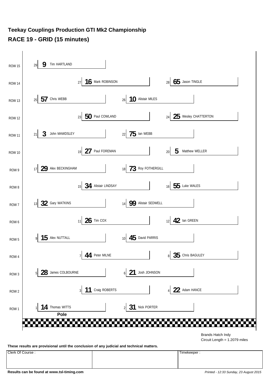#### **Teekay Couplings Production GTI Mk2 Championship RACE 19 - GRID (15 minutes)**



**These results are provisional until the conclusion of any judicial and technical matters.**

Clerk Of Course : Timekeeper :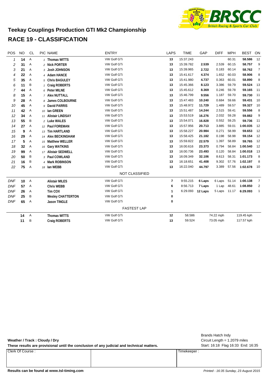

#### **Teekay Couplings Production GTI Mk2 Championship RACE 19 - CLASSIFICATION**

| POS        | <b>NO</b> | <b>CL</b>    | PIC NAME                 | <b>ENTRY</b>          | <b>LAPS</b>              | <b>TIME</b> | GAP     | <b>DIFF</b> | <b>MPH</b> | <b>BEST</b> | ON             |
|------------|-----------|--------------|--------------------------|-----------------------|--------------------------|-------------|---------|-------------|------------|-------------|----------------|
| 1          | 14        | Α            | 1 Thomas WITTS           | VW Golf GTi           | 13                       | 15:37.243   |         |             | 60.31      | 58.586      | 12             |
| 2          | 31        | Α            | 2 Nick PORTER            | VW Golf GTi           | 13                       | 15:39.782   | 2.539   | 2.539       | 60.15      | 58.757      | 9              |
| 3          | 21        | Α            | 3 Josh JOHNSON           | VW Golf GTi           | 13                       | 15:39.965   | 2.722   | 0.183       | 60.14      | 58.762      | $\overline{7}$ |
| 4          | 22        | Α            | 4 Adam HANCE             | VW Golf GTi           | 13                       | 15:41.617   | 4.374   | 1.652       | 60.03      | 58.906      | 8              |
| 5          | 35        | Α            | 5 Chris BAGULEY          | VW Golf GTi           | 13                       | 15:41.980   | 4.737   | 0.363       | 60.01      | 58.890      | 8              |
| 6          | 11        | B            | 1 Craig ROBERTS          | VW Golf GTi           | 13                       | 15:45.366   | 8.123   | 3.386       | 59.79      | 59.524      | 13             |
| 7          | 44        | Α            | 6 Peter MILNE            | VW Golf GTi           | 13                       | 15:45.612   | 8.369   | 0.246       | 59.78      | 59.165      | 11             |
| 8          | 15        | Α            | 7 Alex NUTTALL           | VW Golf GTi           | 13                       | 15:46.799   | 9.556   | 1.187       | 59.70      | 59.730      | 11             |
| 9          | 28        | Α            | 8 James COLBOURNE        | VW Golf GTi           | 13                       | 15:47.483   | 10.240  | 0.684       | 59.66      | 59.431      | 10             |
| 10         | 45        | Α            | 9 David PARRIS           | VW Golf GTi           | 13                       | 15:48.972   | 11.729  | 1.489       | 59.57      | 59.327      | 10             |
| 11         | 42        | Α            | 10 Ian GREEN             | VW Golf GTi           | 13                       | 15:51.487   | 14.244  | 2.515       | 59.41      | 59.556      | 8              |
| 12         | 34        | Α            | 11 Alistair LINDSAY      | VW Golf GTi           | 13                       | 15:53.519   | 16.276  | 2.032       | 59.28      | 59.882      | 9              |
| 13         | 55        | B            | 2 Luke WALES             | <b>VW Golf GTI</b>    | 13                       | 15:54.071   | 16.828  | 0.552       | 59.25      | 59.736      | 11             |
| 14         | 27        | Α            | 12 Paul FOREMAN          | VW Golf GTi           | 13                       | 15:57.956   | 20.713  | 3.885       | 59.01      | 1:00.035    | 12             |
| 15         | 9         | Α            | 13 Tim HARTLAND          | VW Golf GTi           | 13                       | 15:58.227   | 20.984  | 0.271       | 58.99      | 59.653      | 12             |
| 16         | 29        | Α            | 14 Alex BECKINGHAM       | VW Golf GTi           | 13                       | 15:58.425   | 21.182  | 0.198       | 58.98      | 59.154      | 12             |
| 17         | 5         | Α            | 15 Matthew WELLER        | VW Golf GTi           | 13                       | 15:59.822   | 22.579  | 1.397       | 58.89      | 59.765      | 12             |
| 18         | 32        | Α            | 16 Gary WATKINS          | VW Golf GTi           | 13                       | 16:00.616   | 23.373  | 0.794       | 58.84      | 1:00.540    | 12             |
| 19         | 99        | Α            | 17 Alistair SEDWELL      | VW Golf GTi           | 13                       | 16:00.736   | 23.493  | 0.120       | 58.84      | 1:00.018    | 13             |
| 20         | 50        | Β            | 3 Paul COWLAND           | VW Golf GTi           | 13                       | 16:09.349   | 32.106  | 8.613       | 58.31      | 1:01.173    | 8              |
| 21         | 16        | B            | 4 Mark ROBINSON          | VW Golf GTi           | 13                       | 16:18.651   | 41.408  | 9.302       | 57.76      | 1:02.197    | 8              |
| 22         | 75        | А            | 18 Ian WEBB              | VW Golf GTi           | 13                       | 16:22.040   | 44.797  | 3.389       | 57.56      | 1:02.678    | 10             |
|            |           |              |                          | <b>NOT CLASSIFIED</b> |                          |             |         |             |            |             |                |
| <b>DNF</b> | 10        | $\mathsf{A}$ | <b>Alistair MILES</b>    | VW Golf GTi           | $\overline{\phantom{a}}$ | 9:55.215    | 6 Laps  | 6 Laps      | 51.14      | 1:00.138    | $\overline{7}$ |
| <b>DNF</b> | 57        | Α            | <b>Chris WEBB</b>        | VW Golf GTi           | 6                        | 8:56.713    | 7 Laps  | 1 Lap       | 48.61      | 1:08.850    | 2              |
| <b>DNF</b> | 26        | Α            | Tim COX                  | VW Golf GTi           | 1                        | 6:29.093    | 12 Laps | 5 Laps      | 11.17      | 6:29.093    | $\mathbf{1}$   |
| <b>DNF</b> | 25        | Β            | <b>Wesley CHATTERTON</b> | VW Golf GTi           | 0                        |             |         |             |            |             |                |
| <b>DNF</b> | 65        | A            | <b>Jason TINGLE</b>      | VW Golf GTi           | $\mathbf 0$              |             |         |             |            |             |                |
|            |           |              |                          | <b>FASTEST LAP</b>    |                          |             |         |             |            |             |                |
|            | 14        | Α            | <b>Thomas WITTS</b>      | VW Golf GTi           | 12                       | 58.586      |         | 74.22 mph   |            | 119.45 kph  |                |
|            | 11        | B            | Craig ROBERTS            | VW Golf GTi           | 13                       | 59.524      |         | 73.05 mph   |            | 117.57 kph  |                |

**Weather / Track : Cloudy / Dry**

These results are provisional until the conclusion of any judicial and technical matters. Start: 16:18 Flag 16:33 End: 16:35

Clerk Of Course : Timekeeper :

Circuit Length = 1.2079 miles Brands Hatch Indy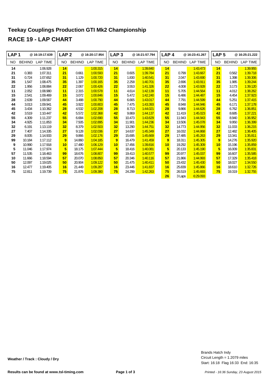| LAP <sub>1</sub> |               | @16:19:17.639   | LAP <sub>2</sub> |               | @ 16:20:17.954  | LAP <sub>3</sub> |               | @16:21:57.794   | LAP <sub>4</sub> |               | @16:23:41.267   | LAP <sub>5</sub> |               | @16:25:21.222   |
|------------------|---------------|-----------------|------------------|---------------|-----------------|------------------|---------------|-----------------|------------------|---------------|-----------------|------------------|---------------|-----------------|
| NO.              | <b>BEHIND</b> | <b>LAP TIME</b> | NO.              | <b>BEHIND</b> | <b>LAP TIME</b> | <b>NO</b>        | <b>BEHIND</b> | <b>LAP TIME</b> | NO.              | <b>BEHIND</b> | <b>LAP TIME</b> | <b>NO</b>        | <b>BEHIND</b> | <b>LAP TIME</b> |
| 14               |               | 1:06.928        | 14               |               | 1:00.315        | 14               |               | 1:39.840        | 14               |               | 1:43.473        | 14               |               | 1:39.955        |
| 21               | 0.383         | 1:07.311        | 21               | 0.661         | 1:00.593        | 21               | 0.605         | 1:39.784        | 21               | 0.799         | 1:43.667        | 21               | 0.562         | 1:39.718        |
| 31               | 0.724         | 1:07.652        | 31               | 1.129         | 1:00.720        | 31               | 1.830         | 1:40.541        | 31               | 2.047         | 1:43.690        | 31               | 1.398         | 1:39.306        |
| 35               | 1.547         | 1:08.475        | 35               | 1.397         | 1:00.165        | 35               | 2.258         | 1:40.701        | 35               | 2.696         | 1:43.911        | 35               | 1.985         | 1:39.244        |
| 22               | 1.956         | 1:08.884        | 22               | 2.067         | 1:00.426        | 22               | 3.553         | 1:41.326        | 22               | 4.008         | 1:43.928        | 22               | 3.173         | 1:39.120        |
| 11               | 2.052         | 1:08.980        | 11               | 2.315         | 1:00.578        | 11               | 4.614         | 1:42.139        | 11               | 5.705         | 1:44.564        | 11               | 4.012         | 1:38.262        |
| 15               | 2.541         | 1:09.469        | 15               | 3.072         | 1:00.846        | 15               | 5.472         | 1:42.240        | 15               | 6.486         | 1:44.487        | 15               | 4.454         | 1:37.923        |
| 28               | 2.639         | 1:09.567        | 44               | 3.488         | 1:00.790        | 44               | 6.665         | 1:43.017        | 44               | 7.791         | 1:44.599        | 44               | 5.251         | 1:37.415        |
| 44               | 3.013         | 1:09.941        | 45               | 3.922         | 1:00.803        | 45               | 7.475         | 1:43.393        | 45               | 8.948         | 1:44.946        | 45               | 6.171         | 1:37.178        |
| 45               | 3.434         | 1:10.362        | 28               | 4.532         | 1:02.208        | 28               | 8.713         | 1:44.021        | 28               | 9.866         | 1:44.626        | 28               | 6.762         | 1:36.851        |
| 42               | 3.519         | 1:10.447        | 42               | 5.572         | 1:02.368        | 42               | 9.869         | 1:44.137        | 42               | 11.419        | 1:45.023        | 42               | 8.685         | 1:37.221        |
| 55               | 4.309         | 1:11.237        | 55               | 6.684         | 1:02.690        | 55               | 10.473        | 1:43.629        | 55               | 11.943        | 1:44.943        | 55               | 8.940         | 1:36.952        |
| 34               | 4.925         | 1:11.853        | 34               | 7.505         | 1:02.895        | 34               | 11.901        | 1:44.236        | 34               | 13.506        | 1:45.078        | 34               | 9.950         | 1:36.399        |
| 32               | 6.191         | 1:13.119        | 32               | 8.379         | 1:02.503        | 32               | 13.290        | 1:44.751        | 32               | 14.773        | 1:44.956        | 32               | 11.033        | 1:36.215        |
| 27               | 7.407         | 1:14.335        | 27               | 9.128         | 1:02.036        | 27               | 14.637        | 1:45.349        | 27               | 16.032        | 1:44.868        | 27               | 12.482        | 1:36.405        |
| 29               | 8.005         | 1:14.933        | 29               | 9.866         | 1:02.176        | 29               | 15.695        | 1:45.669        | 29               | 17.485        | 1:45.263        | 29               | 13.341        | 1:35.811        |
| 99               | 10.184        | 1:17.112        | 9                | 14.860        | 1:04.185        | 9                | 16.479        | 1:41.459        | 9                | 18.311        | 1:45.305        |                  | 9<br>14.276   | 1:35.920        |
| 9                | 10.990        | 1:17.918        | 10 <sup>1</sup>  | 17.480        | 1:06.129        | 10 <sup>1</sup>  | 17.456        | 1:39.816        | 10 <sub>1</sub>  | 19.292        | 1:45.309        | 10               | 15.196        | 1:35.859        |
| 5                | 11.046        | 1:17.974        | 5                | 18.175        | 1:07.444        | $5\phantom{.0}$  | 18.416        | 1:40.081        | 5                | 20.133        | 1:45.190        |                  | 5<br>16.009   | 1:35.831        |
| 57               | 11.535        | 1:18.463        | 99               | 18.676        | 1:08.807        | 99               | 19.413        | 1:40.577        | 99               | 20.977        | 1:45.037        | 99               | 16.607        | 1:35.585        |
| 10               | 11.666        | 1:18.594        | 57               | 20.070        | 1:08.850        | 57               | 20.346        | 1:40.116        | 57               | 21.866        | 1:44.993        | 57               | 17.329        | 1:35.418        |
| 50               | 12.097        | 1:19.025        | 50               | 20.904        | 1:09.122        | 50               | 21.475        | 1:40.411        | 50               | 23.432        | 1:45.430        | 50               | 18.027        | 1:34.550        |
| 16               | 12.477        | 1:19.405        | 16               | 21.449        | 1:09.287        | 16               | 23.446        | 1:41.837        | 16               | 25.839        | 1:45.866        | 16               | 18.610        | 1:32.726        |
| 75               | 12.811        | 1:19.739        | 75               | 21.876        | 1:09.380        | 75               | 24.299        | 1:42.263        | 75               | 26.519        | 1:45.693        | 75               | 19.319        | 1:32.755        |
|                  |               |                 |                  |               |                 |                  |               |                 | 26               | 3 Laps        | 6:29.093        |                  |               |                 |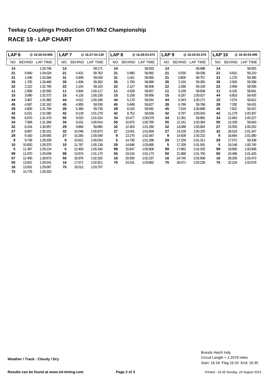| LAP <sub>6</sub> |               | @ 16:26:54.968  | LAP <sub>7</sub> |               | @16:27:54.139 | LAP <sub>8</sub> |               | @16:28:53.072 | LAP <sub>9</sub> |               | @16:29:52.070 |     | <b>LAP 10</b> | @16:30:50.995   |
|------------------|---------------|-----------------|------------------|---------------|---------------|------------------|---------------|---------------|------------------|---------------|---------------|-----|---------------|-----------------|
| NO               | <b>BEHIND</b> | <b>LAP TIME</b> | <b>NO</b>        | <b>BEHIND</b> | LAP TIME      | NO.              | <b>BEHIND</b> | LAP TIME      | NO.              | <b>BEHIND</b> | LAP TIME      | NO. | <b>BEHIND</b> | <b>LAP TIME</b> |
| 14               |               | 1:33.746        | 14               |               | 59.171        | 14               |               | 58.933        | 14               |               | 58.998        | 14  |               | 58.925          |
| 21               | 0.840         | 1:34.024        | 21               | 0.431         | 58.762        | 21               | 0.490         | 58.992        | 21               | 0.530         | 59.038        | 21  | 0.815         | 59.210          |
| 31               | 1.046         | 1:33.394        | 31               | 0.909         | 59.034        | 31               | 1.041         | 59.065        | 31               | 0.800         | 58.757        | 31  | 1.270         | 59.395          |
| 35               | 1.705         | 1:33.466        | 35               | 1.836         | 59.302        | 35               | 1.793         | 58.890        | 35               | 2.150         | 59.355        | 35  | 2.583         | 59.358          |
| 22               | 2.222         | 1:32.795        | 22               | 2.154         | 59.103        | 22               | 2.127         | 58.906        | 22               | 2.288         | 59.159        | 22  | 2.958         | 59.595          |
| 11               | 2.958         | 1:32.692        | 11               | 3.904         | 1:00.117      | 11               | 4.628         | 59.657        | 11               | 5.239         | 59.609        | 11  | 6.155         | 59.841          |
| 15               | 3.080         | 1:32.372        | 15               | 4.135         | 1:00.226      | 15               | 5.158         | 59.956        | 15               | 6.187         | 1:00.027      | 44  | 6.853         | 59.435          |
| 44               | 3.487         | 1:31.982        | 44               | 4.512         | 1:00.196      | 44               | 5.170         | 59.591        | 44               | 6.343         | 1:00.171      | 15  | 7.074         | 59.812          |
| 45               | 4.587         | 1:32.162        | 45               | 4.955         | 59.539        | 45               | 5.849         | 59.827        | 28               | 6.786         | 59.768        | 28  | 7.292         | 59.431          |
| 28               | 4.800         | 1:31.784        | 28               | 5.368         | 59.739        | 28               | 6.016         | 59.581        | 45               | 7.519         | 1:00.668      | 45  | 7.921         | 59.327          |
| 42               | 6.021         | 1:31.082        | 42               | 8.129         | 1:01.279      | 42               | 8.752         | 59.556        | 42               | 9.797         | 1:00.043      | 42  | 11.179        | 1:00.307        |
| 55               | 6.670         | 1:31.476        | 55               | 9.023         | 1:01.524      | 34               | 10.477        | 1:00.079      | 34               | 11.361        | 59.882        | 34  | 12.663        | 1:00.227        |
| 34               | 7.588         | 1:31.384        | 34               | 9.331         | 1:00.914      | 55               | 10.875        | 1:00.785      | 55               | 12.241        | 1:00.364      | 55  | 13.159        | 59.843          |
| 32               | 8.244         | 1:30.957        | 29               | 9.884         | 59.895        | 32               | 12.403        | 1:01.290      | 32               | 14.088        | 1:00.683      | 27  | 15.555        | 1:00.252        |
| 27               | 8.887         | 1:30.151        | 32               | 10.046        | 1:00.973      | 27               | 13.001        | 1:01.669      | 27               | 14.228        | 1:00.225      | 32  | 16.510        | 1:01.347        |
| 29               | 9.160         | 1:29.565        | 27               | 10.265        | 1:00.549      | 9                | 13.275        | 1:01.587      | 9                | 14.509        | 1:00.232      | 9   | 16.664        | 1:01.080        |
| 9                | 9.739         | 1:29.209        | 9                | 10.621        | 1:00.053      | 5                | 14.735        | 1:01.268      | 29               | 17.159        | 1:01.311      | 29  | 17.572        | 59.338          |
| 10               | 10.820        | 1:29.370        | 10               | 11.787        | 1:00.138      | 29               | 14.846        | 1:03.895      | 5                | 17.328        | 1:01.591      | 5   | 19.148        | 1:00.745        |
| 5                | 11.387        | 1:29.124        | 5                | 12.400        | 1:00.184      | 99               | 15.847        | 1:00.906      | 99               | 17.882        | 1:01.033      | 99  | 19.905        | 1:00.948        |
| 99               | 11.870        | 1:29.009        | 99               | 13.874        | 1:01.175      | 50               | 19.216        | 1:01.173      | 50               | 21.968        | 1:01.750      | 50  | 24.468        | 1:01.425        |
| 57               | 12.456        | 1:28.873        | 50               | 16.976        | 1:02.325      | 16               | 20.835        | 1:02.197      | 16               | 24.745        | 1:02.908      | 16  | 29.293        | 1:03.473        |
| 50               | 13.822        | 1:29.541        | 16               | 17.571        | 1:02.811      | 75               | 24.241        | 1:03.862      | 75               | 28.471        | 1:03.228      | 75  | 32.224        | 1:02.678        |
| 16               | 13.931        | 1:29.067        | 75               | 19.312        | 1:03.707      |                  |               |               |                  |               |               |     |               |                 |
| 75               | 14.776        | 1:29.203        |                  |               |               |                  |               |               |                  |               |               |     |               |                 |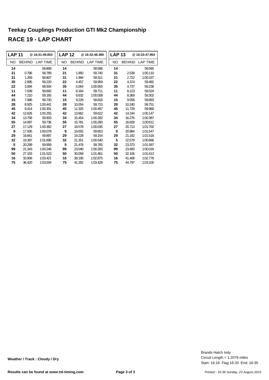| <b>LAP 11</b> |               | @16:31:49.803   | <b>LAP 12</b> |               | @16:32:48.389   |           | <b>LAP 13</b> | @16:33:47.954   |
|---------------|---------------|-----------------|---------------|---------------|-----------------|-----------|---------------|-----------------|
| NO            | <b>BEHIND</b> | <b>LAP TIME</b> | NO.           | <b>BEHIND</b> | <b>LAP TIME</b> | <b>NO</b> | <b>BEHIND</b> | <b>LAP TIME</b> |
| 14            |               | 58.808          | 14            |               | 58.586          | 14        |               | 59.565          |
| 21            | 0.796         | 58.789          | 21            | 1.950         | 59.740          | 31        | 2.539         | 1:00.110        |
| 31            | 1.269         | 58.807          | 31            | 1.994         | 59.311          | 21        | 2.722         | 1:00.337        |
| 35            | 2.995         | 59.220          | 22            | 4.457         | 59.959          | 22        | 4.374         | 59.482          |
| 22            | 3.084         | 58.934          | 35            | 5.064         | 1:00.655        | 35        | 4.737         | 59.238          |
| 11            | 7.039         | 59.692          | 11            | 8.164         | 59.711          | 11        | 8.123         | 59.524          |
| 44            | 7.210         | 59.165          | 44            | 8.632         | 1:00.008        | 44        | 8.369         | 59.302          |
| 15            | 7.996         | 59.730          | 15            | 9.228         | 59.818          | 15        | 9.556         | 59.893          |
| 28            | 8.925         | 1:00.441        | 28            | 10.054        | 59.715          | 28        | 10.240        | 59.751          |
| 45            | 9.414         | 1:00.301        | 45            | 11.325        | 1:00.497        | 45        | 11.729        | 59.969          |
| 42            | 12.626        | 1:00.255        | 42            | 13.662        | 59.622          | 42        | 14.244        | 1:00.147        |
| 34            | 13.758        | 59.903          | 34            | 15.454        | 1:00.282        | 34        | 16.276        | 1:00.387        |
| 55            | 14.087        | 59.736          | 55            | 15.781        | 1:00.280        | 55        | 16.828        | 1:00.612        |
| 27            | 17.129        | 1:00.382        | 27            | 18.578        | 1:00.035        | 27        | 20.713        | 1:01.700        |
| 9             | 17.935        | 1:00.079        | 9             | 19.002        | 59.653          | 9         | 20.984        | 1:01.547        |
| 29            | 18.661        | 59.897          | 29            | 19.229        | 59.154          | 29        | 21.182        | 1:01.518        |
| 32            | 19.397        | 1:01.695        | 32            | 21.351        | 1:00.540        | 5         | 22.579        | 1:00.666        |
| 5             | 20.299        | 59.959          | 5             | 21.478        | 59.765          | 32        | 23.373        | 1:01.587        |
| 99            | 21.343        | 1:00.246        | 99            | 23.040        | 1:00.283        | 99        | 23.493        | 1:00.018        |
| 50            | 27.183        | 1:01.523        | 50            | 30.058        | 1:01.461        | 50        | 32.106        | 1:01.613        |
| 16            | 33.906        | 1:03.421        | 16            | 38.195        | 1:02.875        | 16        | 41.408        | 1:02.778        |
| 75            | 36.420        | 1:03.004        | 75            | 41.262        | 1:03.428        | 75        | 44.797        | 1:03.100        |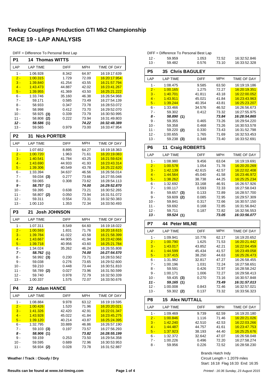| P1               | <b>Thomas WITTS</b><br>14 |                |                |                              |
|------------------|---------------------------|----------------|----------------|------------------------------|
| LAP              | <b>LAP TIME</b>           | DIFF           | MPH            | TIME OF DAY                  |
| $1 -$            | 1:06.928                  | 8.342          | 64.97          | 16:19:17.639                 |
| $2 -$            | 1:00.315                  | 1.729          | 72.09          | 16:20:17.954                 |
| $3 -$            | 1:39.840                  | 41.254         | 43.55          | 16:21:57.794                 |
| $4 -$            | 1:43.473                  | 44.887         | 42.02          | 16:23:41.267                 |
| $5 -$            | 1:39.955                  | 41.369         | 43.50          | 16:25:21.222                 |
| 6 -              | 1:33.746                  | 35.160         | 46.38          | 16:26:54.968                 |
| $7 -$            | 59.171                    | 0.585          | 73.49          | 16:27:54.139                 |
| 8 -              | 58.933                    | 0.347          | 73.78          | 16:28:53.072                 |
| 9 -              | 58.998                    | 0.412          | 73.70          | 16:29:52.070                 |
| $10 -$           | 58.925<br>(3)             | 0.339          | 73.79          | 16:30:50.995                 |
| $11 -$           | 58.808<br>(2)             | 0.222          | 73.94          | 16:31:49.803                 |
| $12 -$           | 58.586 (1)                |                | 74.22          | 16:32:48.389                 |
| $13 -$           | 59.565                    | 0.979          | 73.00          | 16:33:47.954                 |
| P <sub>2</sub>   | <b>Nick PORTER</b><br>31  |                |                |                              |
| LAP              | <b>LAP TIME</b>           | DIFF           | MPH            | TIME OF DAY                  |
| $1 -$            | 1:07.652                  | 8.895          | 64.27          | 16:19:18.363                 |
| $2 -$            | 1:00.720                  | 1.963          | 71.61          | 16:20:19.083                 |
| $3 -$            | 1:40.541                  | 41.784         | 43.25          | 16:21:59.624                 |
| $4 -$            | 1:43.690                  | 44.933         | 41.93          | 16:23:43.314                 |
| $5 -$            | 1:39.306                  | 40.549         | 43.78          | 16:25:22.620                 |
| 6 -              | 1:33.394                  | 34.637         | 46.56          | 16:26:56.014                 |
| $7 -$            | 59.034 (3)                | 0.277          | 73.66          | 16:27:55.048                 |
| 8 -              | 59.065                    | 0.308          | 73.62          | 16:28:54.113                 |
| 9 -              | 58.757 (1)                |                | 74.00          | 16:29:52.870                 |
| $10 -$           | 59.395                    | 0.638          | 73.21          | 16:30:52.265                 |
| 11 -             | 58.807 (2)                | 0.050          | 73.94          | 16:31:51.072                 |
| $12 -$           | 59.311                    | 0.554          | 73.31          | 16:32:50.383                 |
| $13 -$           | 1:00.110                  | 1.353          | 72.34          | 16:33:50.493                 |
| P3               | 21<br><b>Josh JOHNSON</b> |                |                |                              |
| LAP              | <b>LAP TIME</b>           | DIFF           | <b>MPH</b>     | TIME OF DAY                  |
| $1 -$            | 1:07.311                  | 8.549          | 64.60          | 16:19:18.022                 |
| $2 -$            | 1:00.593                  | 1.831          | 71.76          | <u>16:20:18.615</u>          |
| $3 -$            | 1:39.784                  | 41.022         | 43.58          | 16:21:58.399                 |
| $4 -$            | 1:43.667                  | 44.905         | 41.94          | 16:23:42.066                 |
| $5 -$            | 1:39.718                  | 40.956         | 43.60          | 16.25:21.784                 |
| 6 -              | 1:34.024                  | 35.262         | 46.24          | 16:26:55.808                 |
| 7 -              | 58.762 (1)                |                | 74.00          | 16:27:54.570                 |
| 8 -              | 58.992 (3)                | 0.230          | 73.71          | 16:28:53.562                 |
| 9 -              | 59.038                    | 0.276          | 73.65          | 16:29:52.600                 |
| $10 -$           | 59.210                    | 0.448          | 73.44          | 16:30:51.810                 |
| $11 -$<br>$12 -$ | 58.789 (2)                | 0.027          | 73.96          | 16:31:50.599                 |
| $13 -$           | 59.740<br>1:00.337        | 0.978<br>1.575 | 72.79<br>72.07 | 16:32:50.339<br>16:33:50.676 |
| P4               | 22<br><b>Adam HANCE</b>   |                |                |                              |
| LAP              | <b>LAP TIME</b>           | <b>DIFF</b>    | <b>MPH</b>     | TIME OF DAY                  |
| 1 -              | 1:08.884                  | 9.978          | 63.12          | 16:19:19.595                 |
| $2 -$            | 1:00.426                  | 1.520          | 71.96          | 16:20:20.021                 |
| $3 -$            | 1:41.326                  | 42.420         | 42.91          | 16:22:01.347                 |
| $4 -$            | 1:43.928                  | 45.022         | 41.84          | 16:23:45.275                 |
| $5 -$            | <u>1:39.120</u>           | 40.214         | 43.87          | 16:25:24.395                 |
| 6 -              | 1:32.795                  | 33.889         | 46.86          | 16:26:57.190                 |
| $7 -$            | 59.103 (3)                | 0.197          | 73.57          | 16:27:56.293                 |
| 8 -              | 58.906 (1)                |                | 73.82          | 16:28:55.199                 |
| 9 -              | 59.159                    | 0.253          | 73.50          | 16:29:54.358                 |
| $10 -$           | 59.595                    | 0.689          | 72.96          | 16:30:53.953                 |
| 11 -             | 58.934 (2)                | 0.028          | 73.78          | 16:31:52.887                 |

DIFF = Difference To Personal Best Lap

**Weather / Track : Cloudy / Dry**

|                         |             |            |              | ᅜ              | LAF TIME               | பாட         | <b>IVIFII</b> | <b>I IIVIE OF DAT</b> |
|-------------------------|-------------|------------|--------------|----------------|------------------------|-------------|---------------|-----------------------|
|                         | 41.254      | 43.55      | 16.21:57.794 | $1 -$          | 1:08.475               | 9.585       | 63.50         | 16:19:19.186          |
|                         | 44.887      | 42.02      | 16:23:41.267 | $2 -$          | 1:00.165               | 1.275       | 72.27         | 16:20:19.351          |
| 5                       | 41.369      | 43.50      | 16.25:21.222 | $3 -$          | 1:40.701               | 41.811      | 43.18         | 16:22:00.052          |
| 6                       | 35.160      | 46.38      | 16:26:54.968 | $4 -$          | 1:43.911               | 45.021      | 41.84         | 16:23:43.963          |
|                         | 0.585       | 73.49      | 16:27:54.139 | $5 -$          | 1:39.244               | 40.354      | 43.81         | 16:25:23.207          |
| 3                       | 0.347       | 73.78      | 16:28:53.072 | $6 -$          | 1:33.466               | 34.576      | 46.52         | 16:26:56.673          |
| B                       | 0.412       | 73.70      | 16:29:52.070 | $7 -$          | 59.302                 | 0.412       | 73.32         | 16:27:55.975          |
| 5(3)                    | 0.339       | 73.79      | 16:30:50.995 | $8-$           | 58.890 (1)             |             | 73.84         | 16:28:54.865          |
| 8 (2)                   | 0.222       | 73.94      | 16:31:49.803 | $9$ -          | 59.355                 | 0.465       | 73.26         | 16:29:54.220          |
| 6 (1)                   |             | 74.22      | 16:32:48.389 | $10 -$         | 59.358                 | 0.468       | 73.26         | 16:30:53.578          |
| 5                       | 0.979       | 73.00      | 16:33:47.954 | $11 -$         | 59.220 (2)             | 0.330       | 73.43         | 16:31:52.798          |
|                         |             |            |              | $12 -$         | 1:00.655               | 1.765       | 71.69         | 16:32:53.453          |
| <b>k PORTER:</b>        |             |            |              | $13 -$         | 59.238 (3)             | 0.348       | 73.40         | 16:33:52.691          |
| E                       | <b>DIFF</b> | <b>MPH</b> | TIME OF DAY  |                |                        |             |               |                       |
| $\overline{\mathbf{c}}$ | 8.895       | 64.27      | 16:19:18.363 | P <sub>6</sub> | 11 Craig ROBERTS       |             |               |                       |
| Ō.                      | 1.963       | 71.61      | 16:20:19.083 | LAP            | <b>LAP TIME</b>        | <b>DIFF</b> | <b>MPH</b>    | TIME OF DAY           |
|                         | 41.784      | 43.25      | 16:21:59.624 | $1 -$          | 1:08.980               | 9.456       | 63.04         | 16:19:19.691          |
|                         | 44.933      | 41.93      | 16:23:43.314 | $2 -$          | 1:00.578               | 1.054       | 71.78         | 16:20:20.269          |
| 6                       | 40.549      | 43.78      | 16.25:22.620 | $3 -$          | 1:42.139               | 42.615      | 42.57         | 16:22:02.408          |
| 4                       | 34.637      | 46.56      | 16:26:56.014 | $4 -$          | 1:44.564               | 45.040      | 41.58         | 16:23:46.972          |
| 4 (3)                   | 0.277       | 73.66      | 16:27:55.048 | $5 -$          | 1:38.262               | 38.738      | 44.25         | 16:25:25.234          |
| 5                       | 0.308       | 73.62      | 16:28:54.113 | $6 -$          | 1:32.692               | 33.168      | 46.91         | 16:26:57.926          |
| 7 (1)                   |             | 74.00      | 16:29:52.870 | $7 -$          | 1:00.117               | 0.593       | 72.33         | 16:27:58.043          |
| 5                       | 0.638       | 73.21      | 16:30:52.265 | $8 -$          | 59.657 (3)             | 0.133       | 72.89         | 16:28:57.700          |
| 7(2)                    | 0.050       | 73.94      | 16:31:51.072 | $9 -$          | 59.609 (2)             | 0.085       | 72.95         | 16:29:57.309          |
|                         | 0.554       | 73.31      | 16:32:50.383 | $10 -$         | 59.841                 | 0.317       | 72.66         | 16:30:57.150          |
| Ŋ                       | 1.353       | 72.34      | 16:33:50.493 | $11 -$         | 59.692                 | 0.168       | 72.85         | 16:31:56.842          |
|                         |             |            |              | $12 -$         | 59.711                 | 0.187       | 72.82         | 16:32:56.553          |
|                         | sh JOHNSON  |            |              | $13 -$         | 59.524 (1)             |             | 73.05         | 16:33:56.077          |
| E                       | <b>DIFF</b> | <b>MPH</b> | TIME OF DAY  | P7             | <b>44 Peter MILNE</b>  |             |               |                       |
|                         | 8.549       | 64.60      | 16:19:18.022 |                |                        |             |               |                       |
|                         | 1.831       | 71.76      | 16:20:18.615 | LAP            | <b>LAP TIME</b>        | <b>DIFF</b> | <b>MPH</b>    | TIME OF DAY           |
| 4                       | 41.022      | 43.58      | 16:21:58.399 | $1 -$          | 1:09.941               | 10.776      | 62.17         | 16:19:20.652          |
|                         | 44.905      | 41.94      | 16:23:42.066 | $2 -$          | 1:00.790               | 1.625       | 71.53         | 16:20:21.442          |
|                         | 40.956      | 43.60      | 16:25:21.784 | $3 -$          | 1:43.017               | 43.852      | 42.21         | 16:22:04.459          |
| 4                       | 35.262      | 46.24      | 16:26:55.808 | $4 -$          | 1:44.599               | 45.434      | 41.57         | 16:23:49.058          |
| 2 (1)                   |             | 74.00      | 16:27:54.570 | $5 -$          | 1:37.415               | 38.250      | 44.63         | 16:25:26.473          |
| 2(3)                    | 0.230       | 73.71      | 16:28:53.562 | $6 -$          | 1:31.982               | 32.817      | 47.27         | 16:26:58.455          |
| 8                       | 0.276       | 73.65      | 16:29:52.600 | $7 -$          | 1:00.196               | 1.031       | 72.24         | 16:27:58.651          |
| D                       | 0.448       | 73.44      | 16:30:51.810 | $8 -$          | 59.591                 | 0.426       | 72.97         | 16:28:58.242          |
| 9 (2)                   | 0.027       | 73.96      | 16:31:50.599 | $9$ -          | 1:00.171               | 1.006       | 72.27         | 16:29:58.413          |
| D                       | 0.978       | 72.79      | 16:32:50.339 | $10 -$         | 59.435 (3)             | 0.270       | 73.16         | 16:30:57.848          |
|                         | 1.575       | 72.07      | 16:33:50.676 | $11 -$         | 59.165 (1)             |             | 73.49         | 16:31:57.013          |
|                         |             |            |              | $12 -$         | 1:00.008               | 0.843       | 72.46         | 16:32:57.021          |
| am HANCE                |             |            |              | $13 -$         | 59.302 (2)             | 0.137       | 73.32         | 16:33:56.323          |
| E                       | <b>DIFF</b> | <b>MPH</b> | TIME OF DAY  | P <sub>8</sub> | <b>15 Alex NUTTALL</b> |             |               |                       |
| 4                       | 9.978       | 63.12      | 16:19:19.595 |                |                        |             |               |                       |

|        | DIFF = Difference To Personal Best Lap |       |       |              |
|--------|----------------------------------------|-------|-------|--------------|
| - 12 - | 59.959                                 | 1.053 | 72.52 | 16:32:52.846 |
| $13 -$ | 59.482                                 | 0.576 | 73.10 | 16:33:52.328 |

| P5     |                 |     | <b>35 Chris BAGULEY</b> |            |                    |
|--------|-----------------|-----|-------------------------|------------|--------------------|
| LAP    | <b>LAP TIME</b> |     | <b>DIFF</b>             | <b>MPH</b> | TIME OF DAY        |
| $1 -$  | 1:08.475        |     | 9.585                   | 63.50      | 16:19:19.186       |
| $2 -$  | 1:00.165        |     | 1.275                   | 72.27      | 16:20:19.351       |
| $3 -$  | 1:40.701        |     | 41.811                  | 43.18      | 16:22:00.052       |
| $4 -$  | 1:43.911        |     | 45.021                  | 41.84      | 16:23:43.963       |
| $5 -$  | 1:39.244        |     | 40.354                  | 43.81      | 16:25:23.207       |
| $6 -$  | 1:33.466        |     | 34.576                  | 46.52      | 16:26:56.673       |
| $7 -$  | 59.302          |     | 0.412                   | 73.32      | 16:27:55.975       |
| 8 -    | 58.890 (1)      |     |                         | 73.84      | 16:28:54.865       |
| $9 -$  | 59.355          |     | 0.465                   | 73.26      | 16:29:54.220       |
| $10 -$ | 59.358          |     | 0.468                   | 73.26      | 16:30:53.578       |
| $11 -$ | 59.220          | (2) | 0.330                   | 73.43      | 16:31:52.798       |
| $12 -$ | 1:00.655        |     | 1.765                   | 71.69      | 16:32:53.453       |
| $13 -$ | 59.238 (3)      |     | 0.348                   | 73.40      | 16:33:52.691       |
| P6     | 11              |     | <b>Craig ROBERTS</b>    |            |                    |
| LAP    | <b>LAP TIME</b> |     | <b>DIFF</b>             | <b>MPH</b> | <b>TIME OF DAY</b> |
| $1 -$  | 1:08.980        |     | 9.456                   | 63.04      | 16:19:19.691       |
| $2 -$  | 1:00.578        |     | 1.054                   | 71.78      | 16:20:20.269       |
| $3 -$  | 1:42.139        |     | 42.615                  | 42.57      | 16:22:02.408       |
| $4 -$  | 1:44.564        |     | 45.040                  | 41.58      | 16.23.46.972       |
| $5 -$  | 1:38.262        |     | 38.738                  | 44.25      | 16:25:25.234       |
| $6 -$  | 1:32.692        |     | 33.168                  | 46.91      | 16:26:57.926       |
| $7 -$  | 1:00.117        |     | 0.593                   | 72.33      | 16:27:58.043       |
| 8 -    | 59.657          | (3) | 0.133                   | 72.89      | 16:28:57.700       |

| 11 -   | 59.692          | 0.168              | 72.85      | 16.31.56.842 |
|--------|-----------------|--------------------|------------|--------------|
| $12 -$ | 59.711          | 0.187              | 72.82      | 16.32.56.553 |
| 13 -   | 59.524 (1)      |                    | 73.05      | 16:33:56.077 |
| P7     | 44              | <b>Peter MILNE</b> |            |              |
| LAP    | <b>LAP TIME</b> | <b>DIFF</b>        | <b>MPH</b> | TIME OF DAY  |
| 1 -    | 1:09.941        | 10.776             | 62.17      | 16:19:20.652 |
| $2 -$  | 1:00.790        | 1.625              | 71.53      | 16:20:21.442 |
| $3 -$  | 1:43.017        | 43.852             | 42.21      | 16:22:04.459 |
| $4 -$  | 1:44.599        | 45.434             | 41.57      | 16:23:49.058 |
| $5 -$  | 1:37.415        | 38.250             | 44.63      | 16.25.26.473 |
| 6 -    | 1:31.982        | 32.817             | 47.27      | 16.26.58.455 |
| 7 -    | 1:00.196        | 1.031              | 72.24      | 16.27.58.651 |
| 8 -    | 59.591          | 0.426              | 72.97      | 16:28:58.242 |
| 9 -    | 1:00.171        | 1.006              | 72.27      | 16:29:58.413 |
| $10 -$ | 59.435          | 0.270<br>(3)       | 73.16      | 16:30:57.848 |
| 11 -   | 59.165 (1)      |                    | 73.49      | 16:31:57.013 |
| $12 -$ | 1:00.008        | 0.843              | 72.46      | 16.32.57.021 |
| 13 -   | 59.302 (2)      | 0.137              | 73.32      | 16.33.56.323 |

| P8               | <b>15 Alex NUTTALL</b> |             |            |              |
|------------------|------------------------|-------------|------------|--------------|
| I AP             | <b>LAP TIME</b>        | <b>DIFF</b> | <b>MPH</b> | TIME OF DAY  |
| 1 -              | 1:09.469               | 9.739       | 62.59      | 16.19.20.180 |
| $2 -$            | 1:00.846               | 1.116       | 71.46      | 16:20:21.026 |
| $3 -$            | 1:42.240               | 42.510      | 42.53      | 16:22:03.266 |
| $\overline{4}$ - | 1:44.487               | 44.757      | 41.61      | 16:23:47.753 |
| $5 -$            | 1:37.923               | 38.193      | 44.40      | 16:25:25.676 |
| $6 -$            | 1:32.372               | 32.642      | 47.07      | 16:26:58.048 |
| 7 -              | 1:00.226               | 0.496       | 72.20      | 16:27:58.274 |
| 8 -              | 59.956                 | 0.226       | 72.52      | 16:28:58.230 |

Circuit Length = 1.2079 miles Brands Hatch Indy

Start: 16:18 Flag 16:33 End: 16:35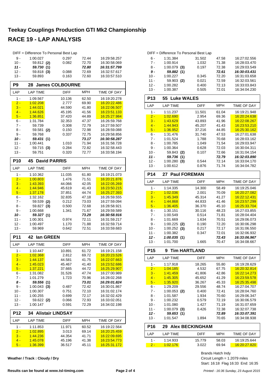|                | DIFF = Difference To Personal Best Lap |                        |                |                              |
|----------------|----------------------------------------|------------------------|----------------|------------------------------|
| 9 -            | 1:00.027                               | 0.297                  | 72.44          | 16:29:58.257                 |
| $10 -$         | 59.812 (2)                             | 0.082                  | 72.70          | 16:30:58.069                 |
| $11 -$         | 59.730 (1)                             |                        | 72.80          | 16:31:57.799                 |
| $12 -$         | 59.818 (3)                             | 0.088                  | 72.69          | 16:32:57.617                 |
| $13 -$         | 59.893                                 | 0.163                  | 72.60          | 16:33:57.510                 |
| P9             | 28                                     | <b>James COLBOURNE</b> |                |                              |
| LAP            | <b>LAP TIME</b>                        | <b>DIFF</b>            | MPH            | TIME OF DAY                  |
| 1 -            | 1:09.567                               | 10.136                 | 62.50          | 16:19:20.278                 |
| $2 -$          | 1:02.208                               | 2.777                  | 69.90          | 16:20:22.486                 |
| $3 -$          | 1:44.021                               | 44.590                 | 41.80          | 16:22:06.507                 |
| $4 -$          | 1:44.626                               | 45.195                 | 41.56          | 16:23:51.133                 |
| $5 -$          | 1:36.851                               | 37.420                 | 44.89          | 16:25:27.984                 |
| $6 -$<br>$7 -$ | 1:31.784<br>59.739                     | 32.353<br>0.308        | 47.37<br>72.79 | 16:26:59.768<br>16:27:59.507 |
| 8 -            | 59.581                                 | 0.150                  | 72.98          | 16:28:59.088                 |
| 9 -            | (2)<br>59.768                          | 0.337                  | 72.75          | 16:29:58.856                 |
| 10 -           | 59.431 (1)                             |                        | 73.17          | 16:30:58.287                 |
| $11 -$         | 1:00.441                               | 1.010                  | 71.94          | 16:31:58.728                 |
| $12 -$         | 59.715 (3)                             | 0.284                  | 72.82          | 16:32:58.443                 |
| 13 -           | 59.751                                 | 0.320                  | 72.77          | 16:33:58.194                 |
| <b>P10</b>     | 45<br><b>David PARRIS</b>              |                        |                |                              |
| LAP            | <b>LAP TIME</b>                        | <b>DIFF</b>            | <b>MPH</b>     | TIME OF DAY                  |
| $1 -$          | 1:10.362                               | 11.035                 | 61.80          | 16:19:21.073                 |
| $2 -$          | 1:00.803                               | 1.476                  | 71.51          | 16.20.21.876                 |
| $3 -$          | 1:43.393                               | 44.066                 | 42.05          | 16:22:05.269                 |
| $4 -$          | 1:44.946                               | 45.619                 | 41.43          | 16:23:50.215                 |
| $5 -$          | 1:37.178                               | 37.851                 | 44.74          | 16.25:27.393                 |
| 6 -            | 1:32.162                               | 32.835                 | 47.18          | 16:26:59.555                 |
| 7 -            | 59.539<br>(2)                          | 0.212                  | 73.03          | 16:27:59.094                 |
| 8 -            | 59.827<br>(3)                          | 0.500                  | 72.68          | 16:28:58.921                 |
| 9 -            | 1:00.668                               | 1.341                  | 71.67          | 16:29:59.589                 |
| 10 -           | 59.327 (1)                             |                        | 73.29          | 16:30:58.916                 |
| 11 -           | 1:00.301                               | 0.974<br>1.170         | 72.11          | 16:31:59.217                 |
| 12 -<br>$13 -$ | 1:00.497<br>59.969                     | 0.642                  | 71.88<br>72.51 | 16:32:59.714<br>16:33:59.683 |
| <b>P11</b>     | lan GREEN<br>42                        |                        |                |                              |
| LAP            | <b>LAP TIME</b>                        | <b>DIFF</b>            | <b>MPH</b>     | <b>TIME OF DAY</b>           |
| 1 -            | 1:10.447                               | 10.891                 | 61.72          | 16:19:21.158                 |
| <u>2 - </u>    | 1:02.368                               | 2.812                  | 69.72          | 16:20:23.526                 |
| $3 -$          | 1:44.137                               | 44.581                 | 41.75          | 16:22:07.663                 |
| $4 -$          | 1:45.023                               | 45.467                 | 41.40          | 16:23:52.686                 |
| $5 -$          | 1:37.221                               | 37.665                 | 44.72          | 16:25:29.907                 |
| 6 -            | 1:31.082                               | 31.526                 | 47.74          | 16:27:00.989                 |
| 7 -            | 1:01.279                               | 1.723                  | 70.96          | 16:28:02.268                 |
| 8 -            | 59.556 (1)                             |                        | 73.01          | 16:29:01.824                 |
| 9 -            | $1:00.043$ (3)                         | 0.487                  | 72.42          | 16:30:01.867                 |
| 10 -           | 1:00.307                               | 0.751                  | 72.10          | 16:31:02.174                 |
| $11 -$         | 1:00.255                               | 0.699                  | 72.17          | 16:32:02.429                 |
| 12 -           | 59.622 (2)                             | 0.066                  | 72.93          | 16:33:02.051                 |
| $13 -$         | 1:00.147                               | 0.591                  | 72.29          | 16:34:02.198                 |
| <b>P12</b>     | <b>Alistair LINDSAY</b><br>34          |                        |                |                              |
| LAP            | <b>LAP TIME</b>                        | DIFF                   | <b>MPH</b>     | TIME OF DAY                  |
| 1 -            | 1:11.853                               | 11.971                 | 60.52          | 16:19:22.564                 |
| $2 -$          | 1:02.895                               | 3.013                  | 69.14          | 16:20:25.459                 |
| $3 -$          | 1:44.236                               | 44.354                 | 41.71          | 16:22:09.695                 |
| $4 -$          | 1:45.078                               | 45.196                 | 41.38          | 16:23:54.773                 |
| $5 -$          | 1:36.399                               | 36.517                 | 45.11          | 16:25:31.172                 |

**Weather / Track : Cloudy / Dry**

|                  | DIFF = Difference To Personal Best Lap |                        |                |                              |
|------------------|----------------------------------------|------------------------|----------------|------------------------------|
| $6 -$            | 1:31.384                               | 31.502                 | 47.58          | 16:27:02.556                 |
| $7 -$            | 1:00.914                               | 1.032                  | 71.38          | 16:28:03.470                 |
| 8 -              | $1:00.079$ (3)                         | 0.197                  | 72.38          | 16:29:03.549                 |
| 9 -              | 59.882 (1)                             |                        | 72.61          | 16:30:03.431                 |
| $10 -$           | 1:00.227                               | 0.345<br>0.021         | 72.20          | 16:31:03.658                 |
| $11 -$<br>$12 -$ | 59.903 (2)<br>1:00.282                 | 0.400                  | 72.59<br>72.13 | 16:32:03.561<br>16:33:03.843 |
| $13 -$           | 1:00.387                               | 0.505                  | 72.01          | 16:34:04.230                 |
|                  |                                        |                        |                |                              |
| P <sub>13</sub>  | 55 Luke WALES                          |                        |                |                              |
| LAP              | <b>LAP TIME</b>                        | <b>DIFF</b>            | <b>MPH</b>     | TIME OF DAY                  |
| $1 -$            | 1:11.237                               | 11.501                 | 61.04          | 16:19:21.948                 |
| $2 -$            | 1:02.690                               | 2.954                  | 69.36          | 16:20:24.638                 |
| $3 -$            | 1:43.629                               | 43.893                 | 41.96          | 16:22:08.267                 |
| $4 -$<br>$5 -$   | 1:44.943<br>1:36.952                   | 45.207<br>37.216       | 41.43<br>44.85 | 16:23:53.210<br>16:25:30.162 |
| 6 -              | 1:31.476                               | 31.740                 | 47.53          | 16:27:01.638                 |
| $7 -$            | 1:01.524                               | 1.788                  | 70.68          | 16:28:03.162                 |
| 8 -              | 1:00.785                               | 1.049                  | 71.54          | 16:29:03.947                 |
| 9 -              | 1:00.364                               | 0.628                  | 72.03          | 16:30:04.311                 |
| $10 -$           | 59.843<br>(2)                          | 0.107                  | 72.66          | 16:31:04.154                 |
| 11 -             | 59.736<br>(1)                          |                        | 72.79          | 16:32:03.890                 |
| $12 -$           | 1:00.280<br>(3)                        | 0.544                  | 72.14          | 16:33:04.170                 |
| $13 -$           | 1:00.612                               | 0.876                  | 71.74          | 16:34:04.782                 |
| P <sub>14</sub>  | 27 Paul FOREMAN                        |                        |                |                              |
| LAP              | <b>LAP TIME</b>                        | <b>DIFF</b>            | <b>MPH</b>     | <b>TIME OF DAY</b>           |
| $1 -$            | 1:14.335                               | 14.300                 | 58.49          | 16:19:25.046                 |
| $2 -$            | 1:02.036                               | 2.001                  | 70.09          | 16:20:27.082                 |
| $3 -$            | 1:45.349                               | 45.314                 | 41.27          | 16:22:12.431                 |
| $4 -$            | 1:44.868                               | 44.833                 | 41.46          | 16:23:57.299                 |
| $5 -$<br>6 -     | 1:36.405<br>1:30.151                   | 36.370<br>30.116       | 45.10<br>48.23 | 16:25:33.704<br>16:27:03.855 |
| $7 -$            | 1:00.549                               | 0.514                  | 71.81          | 16:28:04.404                 |
| 8 -              | 1:01.669                               | 1.634                  | 70.51          | 16:29:06.073                 |
| 9 -              | 1:00.225<br>(2)                        | 0.190                  | 72.20          | 16:30:06.298                 |
| $10 -$           | 1:00.252<br>(3)                        | 0.217                  | 72.17          | 16:31:06.550                 |
| 11 -             | 1:00.382                               | 0.347                  | 72.01          | 16:32:06.932                 |
| 12 -             | 1:00.035(1)                            |                        | 72.43          | 16:33:06.967                 |
| $13 -$           | 1:01.700                               | 1.665                  | 70.47          | 16:34:08.667                 |
| <b>P15</b>       | 9                                      | <b>Tim HARTLAND</b>    |                |                              |
| LAP              | <b>LAP TIME</b>                        | <b>DIFF</b>            | MPH            | <b>TIME OF DAY</b>           |
| $1 -$            | 1:17.918                               | 18.265                 | 55.80          | 16:19:28.629                 |
| $2 -$            | 1:04.185                               | 4.532                  | 67.75          | 16:20:32.814                 |
| $3 -$            | <u>1:41.459</u>                        | 41.806                 | 42.86          | 16:22:14.273                 |
| $4 -$            | 1:45.305                               | 45.652                 | 41.29          | 16:23:59.578                 |
| $5 -$            | <u>1:35.920</u>                        | 36.267                 | 45.33          | 16:25:35.498                 |
| 6 -              | 1:29.209                               | 29.556                 | 48.74          | 16:27:04.707                 |
| $7 -$<br>8 -     | $1:00.053$ (2)<br>1:01.587             | 0.400<br>1.934         | 72.41          | 16:28:04.760<br>16:29:06.347 |
| 9 -              | 1:00.232                               | 0.579                  | 70.60<br>72.19 | 16:30:06.579                 |
| $10 -$           | 1:01.080                               | 1.427                  | 71.19          | 16:31:07.659                 |
| $11 -$           | 1:00.079<br>(3)                        | 0.426                  | 72.38          | 16:32:07.738                 |
| 12 -             | 59.653 (1)                             |                        | 72.89          | 16:33:07.391                 |
| $13 -$           | 1:01.547                               | 1.894                  | 70.65          | 16:34:08.938                 |
| P <sub>16</sub>  | 29                                     | <b>Alex BECKINGHAM</b> |                |                              |
| LAP              | LAP TIME                               | DIFF                   | MPH            | TIME OF DAY                  |
| $1 -$            | 1:14.933                               | 15.779                 | 58.03          | 16.19.25.644                 |
|                  |                                        |                        |                |                              |

Start: 16:18 Flag 16:33 End: 16:35 Circuit Length = 1.2079 miles Brands Hatch Indy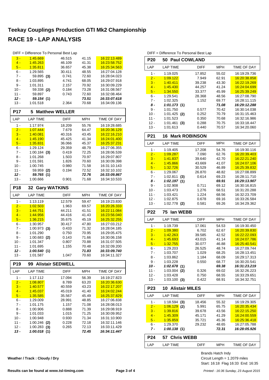|                  |                                | DIFF = Difference To Personal Best Lap |                |                              |
|------------------|--------------------------------|----------------------------------------|----------------|------------------------------|
| $3 -$            | 1:45.669                       | 46.515                                 | 41.15          | 16:22:13.489                 |
| $4 -$            | 1:45.263                       | 46.109                                 | 41.31          | 16:23:58.752                 |
| $5 -$            | 1:35.811                       | 36.657                                 | 45.38          | 16:25:34.563                 |
| $6 -$            | 1:29.565                       | 30.411                                 | 48.55          | 16:27:04.128                 |
| 7 -              | 59.895 (3)                     | 0.741                                  | 72.60          | 16:28:04.023                 |
| 8 -              | 1:03.895                       | 4.741                                  | 68.05          | 16:29:07.918                 |
| $9 -$<br>$10 -$  | 1:01.311                       | 2.157                                  | 70.92          | 16:30:09.229                 |
| 11 -             | 59.338 (2)<br>59.897           | 0.184<br>0.743                         | 73.28<br>72.60 | 16:31:08.567<br>16:32:08.464 |
| 12 -             | 59.154 (1)                     |                                        | 73.51          | 16:33:07.618                 |
| $13 -$           | 1:01.518                       | 2.364                                  | 70.68          | 16:34:09.136                 |
| P17              | 5                              | <b>Matthew WELLER</b>                  |                |                              |
| LAP              | <b>LAP TIME</b>                | DIFF                                   | MPH            | TIME OF DAY                  |
| 1 -              | 1:17.974                       |                                        |                |                              |
| $2 -$            | 1:07.444                       | 18.209<br>7.679                        | 55.76<br>64.47 | 16:19:28.685<br>16:20:36.129 |
| $3 -$            | 1:40.081                       | 40.316                                 | 43.45          | 16:22:16.210                 |
| $4 -$            | 1:45.190                       | 45.425                                 | 41.34          | 16:24:01.400                 |
| $5 -$            | 1:35.831                       | 36.066                                 | 45.37          | 16.25:37.231                 |
| 6 -              | 1:29.124                       | 29.359                                 | 48.79          | 16:27:06.355                 |
| 7 -              | $1:00.184$ (3)                 | 0.419                                  | 72.25          | 16:28:06.539                 |
| 8 -              | 1:01.268                       | 1.503                                  | 70.97          | 16:29:07.807                 |
| 9 -              | 1:01.591                       | 1.826                                  | 70.60          | 16:30:09.398                 |
| $10 -$           | 1:00.745                       | 0.980                                  | 71.58          | 16:31:10.143                 |
| 11 -             | 59.959 (2)                     | 0.194                                  | 72.52          | 16:32:10.102                 |
| $12 -$           | 59.765 (1)                     |                                        | 72.76          | 16:33:09.867                 |
| $13 -$           | 1:00.666                       | 0.901                                  | 71.68          | 16:34:10.533                 |
| <b>P18</b>       | 32                             | <b>Gary WATKINS</b>                    |                |                              |
|                  |                                |                                        |                |                              |
| LAP              | <b>LAP TIME</b>                | DIFF                                   | MPH            | TIME OF DAY                  |
| 1 -              | 1:13.119                       | 12.579                                 | 59.47          | 16:19:23.830                 |
| $2 -$            | 1:02.503                       | 1.963                                  | 69.57          | 16:20:26.333                 |
| $3 -$            | 1:44.751                       | 44.211                                 | 41.51          | 16:22:11.084                 |
| $4 -$            | 1:44.956                       | 44.416                                 | 41.43          | 16:23:56.040                 |
| $5 -$            | 1:36.215                       | 35.675                                 | 45.19          | 16:25:32.255                 |
| 6 -              | 1:30.957                       | 30.417                                 | 47.80          | 16:27:03.212                 |
| 7 -              | $1:00.973$ (3)                 | 0.433                                  | 71.32          | 16:28:04.185                 |
| 8 -              | 1:01.290                       | 0.750                                  | 70.95          | 16:29:05.475                 |
| 9 -              | $1:00.683$ (2)                 | 0.143                                  | 71.66          | 16:30:06.158                 |
| $10 -$           | 1:01.347                       | 0.807                                  | 70.88          | 16:31:07.505                 |
| $11 -$           | 1:01.695                       | 1.155                                  | 70.48          | 16:32:09.200                 |
| 12 -             | 1:00.540(1)                    |                                        | 71.83          | 16:33:09.740                 |
| 13 -             | 1:01.587                       | 1.047                                  | 70.60          | 16:34:11.327                 |
| P <sub>19</sub>  |                                | 99 Alistair SEDWELL                    |                |                              |
| LAP              | <b>LAP TIME</b>                | <b>DIFF</b>                            | <b>MPH</b>     | TIME OF DAY                  |
| 1 -              | 1:17.112                       | 17.094                                 | 56.39          | 16:19:27.823                 |
| $2 -$            | 1:08.807                       | 8.789                                  | 63.20          | 16:20:36.630                 |
| $3 -$            | 1:40.577                       | 40.559                                 | 43.23          | 16:22:17.207                 |
| $4 -$            | 1:45.037                       | 45.019                                 | 41.40          | 16:24:02.244                 |
| $5 -$            | 1:35.585                       | 35.567                                 | 45.49          | 16:25:37.829                 |
| 6 -              | 1:29.009                       | 28.991                                 | 48.85          | 16:27:06.838                 |
| $7 -$            | 1:01.175                       | 1.157                                  | 71.08          | 16:28:08.013                 |
| $8 -$            | 1:00.906                       | 0.888                                  | 71.39          | 16:29:08.919                 |
| 9 -              | 1:01.033                       | 1.015                                  | 71.25          | 16:30:09.952                 |
| 10 -             | 1:00.948                       | 0.930                                  | 71.34          | 16:31:10.900                 |
| $11 -$           | $1:00.246$ (2)                 | 0.228<br>0.265                         | 72.18          | 16:32:11.146<br>16:33:11.429 |
| $12 -$<br>$13 -$ | $1:00.283$ (3)<br>1:00.018 (1) |                                        | 72.13<br>72.45 | 16:34:11.447                 |

1 - 1:19.025 17.852 16:19:29.736 55.02 2 - 1:09.122 7.949 62.91 16:20:38.858 3 - 1:40.411 39.238 43.30 16:22:19.269 4 - 1:45.430 44.257 41.24 16:24:04.699<br>5 - 1:34.550 33.377 45.99 16:25:39.249 16:25:39.249 6 - 1:29.541 28.368 16:27:08.790 48.56 7 - 1:02.325 1.152 69.77 16:28:11.115 *8 - 1:01.173 16:29:12.288* **(1)** *71.08* 9 - 1:01.750 0.577 70.42 16:30:14.038 10 - 1:01.425 0.252 16:31:15.463 **(2)** 70.79 11 - 1:01.523 0.350 16:32:16.986 70.68 12 - 1:01.461 0.288 16:33:18.447 **(3)** 70.75 13 - 1:01.613 0.440 16:34:20.060 70.57 **P21 16 Mark ROBINSON** LAP LAP TIME DIFF MPH TIME OF DAY 1 - 1:19.405 17.208 54.76 16:19:30.116 2 - 1:09.287 7.090 62.76 16:20:39.403 3 - 1:41.837 39.640 42.70 16:22:21.240 4 - 1:45.866 43.669 41.07 16:24:07.106<br>5 - 1:32.726 30.529 46.89 16:25:39.832 1:32.726 30.529 46.89 16:25:39.832 6 - 1:29.067 26.870 16:27:08.899 48.82 7 - 1:02.811 **(3)** 0.614 69.23 16:28:11.710<br>**8 - 1:02.197 (1) 69.91 16:29:13.907** *8 - 1:02.197 16:29:13.907* **(1)** *69.91* 9 - 1:02.908 0.711 69.12 16:30:16.815 10 - 1:03.473 1.276 68.51 16:31:20.288 11 - 1:03.421 1.224 68.56 16:32:23.709 12 - 1:02.875 0.678 16:33:26.584 69.16 13 - 1:02.778 (2) 0.581 69.26 16:34:29.362 **P22 75 Ian WEBB** LAP LAP TIME DIFF MPH TIME OF DAY 1 - 1:19.739 17.061 54.53 16:19:30.450 2 - 1:09.380 6.702 62.67 16:20:39.830 3 - 1:42.263 39.585 42.52 16:22:22.093 4 - 1:45.693 43.015 41.14 16:24:07.786<br>5 - 1:32.755 30.077 46.88 16:25:40.541 1:32.755 30.077 46.88 16:25:40.541 6 - 1:29.203 26.525 16:27:09.744 48.74 7 - 1:03.707 1.029 16:28:13.451 68.25 8 - 1:03.862 1.184 68.09 16:29:17.313 9 - 1:03.228 0.550 68.77 16:30:20.541 *10 - 1:02.678 16:31:23.219* **(1)** *69.38* 11 - 1:03.004 (2) 0.326 69.02 16:32:26.223 12 - 1:03.428 0.750 68.55 16:33:29.651 13 - 1:03.100 **(3)** 0.422 68.91 16:34:32.751 **P23 10 Alistair MILES** LAP LAP TIME DIFF MPH TIME OF DAY 1 - 1:18.594 (3) 18.456 55.32 16:19:29.305 2 - 1:06.129 (2) 5.991 65.75 16:20:35.434 3 - 1:39.816 39.678 43.56 16:22:15.250 4 - 1:45.309 45.171 41.29 16:24:00.559 5 - 1:35.859 35.721 45.36 16:25:36.418 6 - 1:29.370 29.232 16:27:05.788 48.65 *7 - 1:00.138 16:28:05.926* **(1)** *72.31* **P24 57 Chris WEBB** LAP LAP TIME DIFF MPH TIME OF DAY

DIFF = Difference To Personal Best Lap **P20 50 Paul COWLAND**

LAP LAP TIME DIFF MPH TIME OF DAY

Start: 16:18 Flag 16:33 End: 16:35 Circuit Length = 1.2079 miles Brands Hatch Indy

**Weather / Track : Cloudy / Dry**